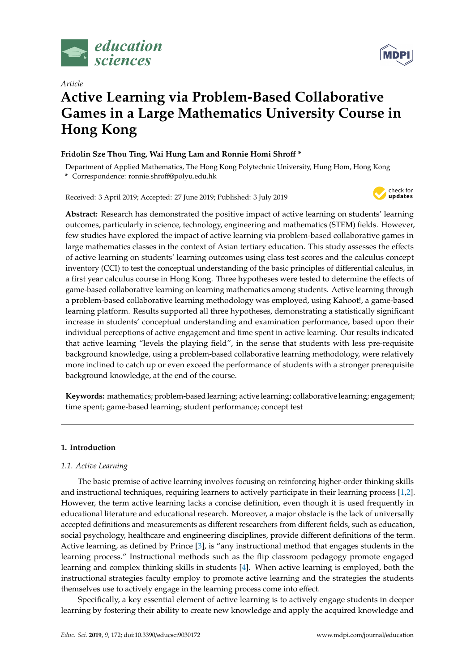

*Article*



# **Active Learning via Problem-Based Collaborative Games in a Large Mathematics University Course in Hong Kong**

# **Fridolin Sze Thou Ting, Wai Hung Lam and Ronnie Homi Shro**ff **\***

Department of Applied Mathematics, The Hong Kong Polytechnic University, Hung Hom, Hong Kong **\*** Correspondence: ronnie.shroff@polyu.edu.hk

Received: 3 April 2019; Accepted: 27 June 2019; Published: 3 July 2019



**Abstract:** Research has demonstrated the positive impact of active learning on students' learning outcomes, particularly in science, technology, engineering and mathematics (STEM) fields. However, few studies have explored the impact of active learning via problem-based collaborative games in large mathematics classes in the context of Asian tertiary education. This study assesses the effects of active learning on students' learning outcomes using class test scores and the calculus concept inventory (CCI) to test the conceptual understanding of the basic principles of differential calculus, in a first year calculus course in Hong Kong. Three hypotheses were tested to determine the effects of game-based collaborative learning on learning mathematics among students. Active learning through a problem-based collaborative learning methodology was employed, using Kahoot!, a game-based learning platform. Results supported all three hypotheses, demonstrating a statistically significant increase in students' conceptual understanding and examination performance, based upon their individual perceptions of active engagement and time spent in active learning. Our results indicated that active learning "levels the playing field", in the sense that students with less pre-requisite background knowledge, using a problem-based collaborative learning methodology, were relatively more inclined to catch up or even exceed the performance of students with a stronger prerequisite background knowledge, at the end of the course.

**Keywords:** mathematics; problem-based learning; active learning; collaborative learning; engagement; time spent; game-based learning; student performance; concept test

# **1. Introduction**

# *1.1. Active Learning*

The basic premise of active learning involves focusing on reinforcing higher-order thinking skills and instructional techniques, requiring learners to actively participate in their learning process [\[1,](#page-17-0)[2\]](#page-17-1). However, the term active learning lacks a concise definition, even though it is used frequently in educational literature and educational research. Moreover, a major obstacle is the lack of universally accepted definitions and measurements as different researchers from different fields, such as education, social psychology, healthcare and engineering disciplines, provide different definitions of the term. Active learning, as defined by Prince [\[3\]](#page-17-2), is "any instructional method that engages students in the learning process." Instructional methods such as the flip classroom pedagogy promote engaged learning and complex thinking skills in students [\[4\]](#page-17-3). When active learning is employed, both the instructional strategies faculty employ to promote active learning and the strategies the students themselves use to actively engage in the learning process come into effect.

Specifically, a key essential element of active learning is to actively engage students in deeper learning by fostering their ability to create new knowledge and apply the acquired knowledge and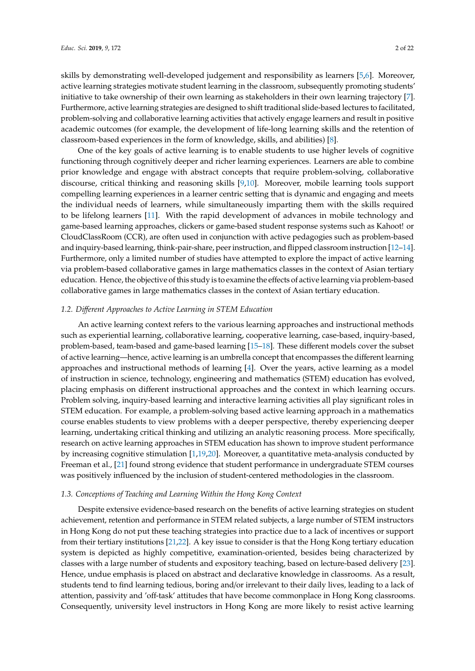skills by demonstrating well-developed judgement and responsibility as learners [\[5](#page-17-4)[,6\]](#page-17-5). Moreover, active learning strategies motivate student learning in the classroom, subsequently promoting students' initiative to take ownership of their own learning as stakeholders in their own learning trajectory [\[7\]](#page-17-6). Furthermore, active learning strategies are designed to shift traditional slide-based lectures to facilitated, problem-solving and collaborative learning activities that actively engage learners and result in positive academic outcomes (for example, the development of life-long learning skills and the retention of classroom-based experiences in the form of knowledge, skills, and abilities) [\[8\]](#page-17-7).

One of the key goals of active learning is to enable students to use higher levels of cognitive functioning through cognitively deeper and richer learning experiences. Learners are able to combine prior knowledge and engage with abstract concepts that require problem-solving, collaborative discourse, critical thinking and reasoning skills [\[9](#page-17-8)[,10\]](#page-17-9). Moreover, mobile learning tools support compelling learning experiences in a learner centric setting that is dynamic and engaging and meets the individual needs of learners, while simultaneously imparting them with the skills required to be lifelong learners [\[11\]](#page-17-10). With the rapid development of advances in mobile technology and game-based learning approaches, clickers or game-based student response systems such as Kahoot! or CloudClassRoom (CCR), are often used in conjunction with active pedagogies such as problem-based and inquiry-based learning, think-pair-share, peer instruction, and flipped classroom instruction [\[12–](#page-17-11)[14\]](#page-17-12). Furthermore, only a limited number of studies have attempted to explore the impact of active learning via problem-based collaborative games in large mathematics classes in the context of Asian tertiary education. Hence, the objective of this study is to examine the effects of active learning via problem-based collaborative games in large mathematics classes in the context of Asian tertiary education.

## *1.2. Di*ff*erent Approaches to Active Learning in STEM Education*

An active learning context refers to the various learning approaches and instructional methods such as experiential learning, collaborative learning, cooperative learning, case-based, inquiry-based, problem-based, team-based and game-based learning [\[15–](#page-17-13)[18\]](#page-18-0). These different models cover the subset of active learning—hence, active learning is an umbrella concept that encompasses the different learning approaches and instructional methods of learning [\[4\]](#page-17-3). Over the years, active learning as a model of instruction in science, technology, engineering and mathematics (STEM) education has evolved, placing emphasis on different instructional approaches and the context in which learning occurs. Problem solving, inquiry-based learning and interactive learning activities all play significant roles in STEM education. For example, a problem-solving based active learning approach in a mathematics course enables students to view problems with a deeper perspective, thereby experiencing deeper learning, undertaking critical thinking and utilizing an analytic reasoning process. More specifically, research on active learning approaches in STEM education has shown to improve student performance by increasing cognitive stimulation [\[1,](#page-17-0)[19,](#page-18-1)[20\]](#page-18-2). Moreover, a quantitative meta-analysis conducted by Freeman et al., [\[21\]](#page-18-3) found strong evidence that student performance in undergraduate STEM courses was positively influenced by the inclusion of student-centered methodologies in the classroom.

#### *1.3. Conceptions of Teaching and Learning Within the Hong Kong Context*

Despite extensive evidence-based research on the benefits of active learning strategies on student achievement, retention and performance in STEM related subjects, a large number of STEM instructors in Hong Kong do not put these teaching strategies into practice due to a lack of incentives or support from their tertiary institutions [\[21,](#page-18-3)[22\]](#page-18-4). A key issue to consider is that the Hong Kong tertiary education system is depicted as highly competitive, examination-oriented, besides being characterized by classes with a large number of students and expository teaching, based on lecture-based delivery [\[23\]](#page-18-5). Hence, undue emphasis is placed on abstract and declarative knowledge in classrooms. As a result, students tend to find learning tedious, boring and/or irrelevant to their daily lives, leading to a lack of attention, passivity and 'off-task' attitudes that have become commonplace in Hong Kong classrooms. Consequently, university level instructors in Hong Kong are more likely to resist active learning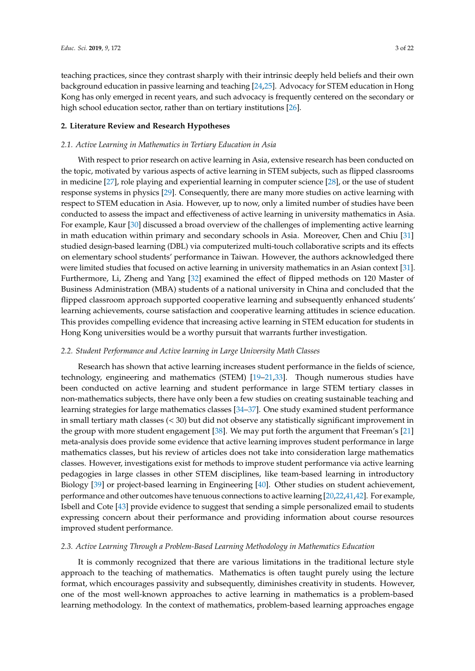teaching practices, since they contrast sharply with their intrinsic deeply held beliefs and their own background education in passive learning and teaching [\[24](#page-18-6)[,25\]](#page-18-7). Advocacy for STEM education in Hong Kong has only emerged in recent years, and such advocacy is frequently centered on the secondary or high school education sector, rather than on tertiary institutions [\[26\]](#page-18-8).

#### **2. Literature Review and Research Hypotheses**

## *2.1. Active Learning in Mathematics in Tertiary Education in Asia*

With respect to prior research on active learning in Asia, extensive research has been conducted on the topic, motivated by various aspects of active learning in STEM subjects, such as flipped classrooms in medicine [\[27\]](#page-18-9), role playing and experiential learning in computer science [\[28\]](#page-18-10), or the use of student response systems in physics [\[29\]](#page-18-11). Consequently, there are many more studies on active learning with respect to STEM education in Asia. However, up to now, only a limited number of studies have been conducted to assess the impact and effectiveness of active learning in university mathematics in Asia. For example, Kaur [\[30\]](#page-18-12) discussed a broad overview of the challenges of implementing active learning in math education within primary and secondary schools in Asia. Moreover, Chen and Chiu [\[31\]](#page-18-13) studied design-based learning (DBL) via computerized multi-touch collaborative scripts and its effects on elementary school students' performance in Taiwan. However, the authors acknowledged there were limited studies that focused on active learning in university mathematics in an Asian context [\[31\]](#page-18-13). Furthermore, Li, Zheng and Yang [\[32\]](#page-18-14) examined the effect of flipped methods on 120 Master of Business Administration (MBA) students of a national university in China and concluded that the flipped classroom approach supported cooperative learning and subsequently enhanced students' learning achievements, course satisfaction and cooperative learning attitudes in science education. This provides compelling evidence that increasing active learning in STEM education for students in Hong Kong universities would be a worthy pursuit that warrants further investigation.

#### *2.2. Student Performance and Active learning in Large University Math Classes*

Research has shown that active learning increases student performance in the fields of science, technology, engineering and mathematics (STEM) [\[19–](#page-18-1)[21](#page-18-3)[,33\]](#page-18-15). Though numerous studies have been conducted on active learning and student performance in large STEM tertiary classes in non-mathematics subjects, there have only been a few studies on creating sustainable teaching and learning strategies for large mathematics classes [\[34](#page-18-16)[–37\]](#page-18-17). One study examined student performance in small tertiary math classes (< 30) but did not observe any statistically significant improvement in the group with more student engagement [\[38\]](#page-18-18). We may put forth the argument that Freeman's [\[21\]](#page-18-3) meta-analysis does provide some evidence that active learning improves student performance in large mathematics classes, but his review of articles does not take into consideration large mathematics classes. However, investigations exist for methods to improve student performance via active learning pedagogies in large classes in other STEM disciplines, like team-based learning in introductory Biology [\[39\]](#page-18-19) or project-based learning in Engineering [\[40\]](#page-19-0). Other studies on student achievement, performance and other outcomes have tenuous connections to active learning [\[20,](#page-18-2)[22](#page-18-4)[,41](#page-19-1)[,42\]](#page-19-2). For example, Isbell and Cote [\[43\]](#page-19-3) provide evidence to suggest that sending a simple personalized email to students expressing concern about their performance and providing information about course resources improved student performance.

# *2.3. Active Learning Through a Problem-Based Learning Methodology in Mathematics Education*

It is commonly recognized that there are various limitations in the traditional lecture style approach to the teaching of mathematics. Mathematics is often taught purely using the lecture format, which encourages passivity and subsequently, diminishes creativity in students. However, one of the most well-known approaches to active learning in mathematics is a problem-based learning methodology. In the context of mathematics, problem-based learning approaches engage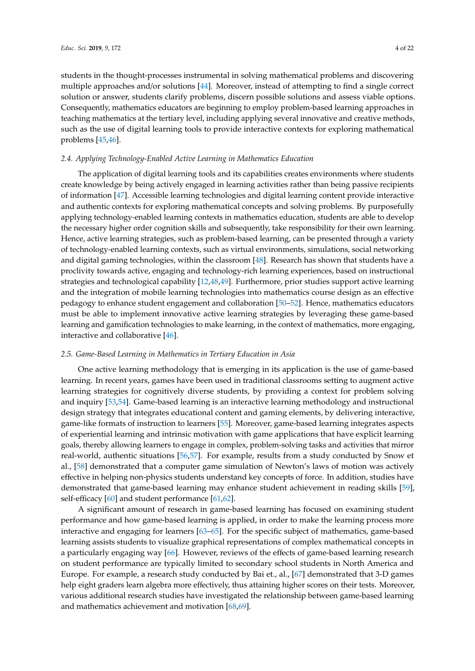students in the thought-processes instrumental in solving mathematical problems and discovering multiple approaches and/or solutions [\[44\]](#page-19-4). Moreover, instead of attempting to find a single correct solution or answer, students clarify problems, discern possible solutions and assess viable options. Consequently, mathematics educators are beginning to employ problem-based learning approaches in teaching mathematics at the tertiary level, including applying several innovative and creative methods, such as the use of digital learning tools to provide interactive contexts for exploring mathematical problems [\[45](#page-19-5)[,46\]](#page-19-6).

# *2.4. Applying Technology-Enabled Active Learning in Mathematics Education*

The application of digital learning tools and its capabilities creates environments where students create knowledge by being actively engaged in learning activities rather than being passive recipients of information [\[47\]](#page-19-7). Accessible learning technologies and digital learning content provide interactive and authentic contexts for exploring mathematical concepts and solving problems. By purposefully applying technology-enabled learning contexts in mathematics education, students are able to develop the necessary higher order cognition skills and subsequently, take responsibility for their own learning. Hence, active learning strategies, such as problem-based learning, can be presented through a variety of technology-enabled learning contexts, such as virtual environments, simulations, social networking and digital gaming technologies, within the classroom [\[48\]](#page-19-8). Research has shown that students have a proclivity towards active, engaging and technology-rich learning experiences, based on instructional strategies and technological capability [\[12](#page-17-11)[,48](#page-19-8)[,49\]](#page-19-9). Furthermore, prior studies support active learning and the integration of mobile learning technologies into mathematics course design as an effective pedagogy to enhance student engagement and collaboration [\[50](#page-19-10)[–52\]](#page-19-11). Hence, mathematics educators must be able to implement innovative active learning strategies by leveraging these game-based learning and gamification technologies to make learning, in the context of mathematics, more engaging, interactive and collaborative [\[46\]](#page-19-6).

#### *2.5. Game-Based Learning in Mathematics in Tertiary Education in Asia*

One active learning methodology that is emerging in its application is the use of game-based learning. In recent years, games have been used in traditional classrooms setting to augment active learning strategies for cognitively diverse students, by providing a context for problem solving and inquiry [\[53](#page-19-12)[,54\]](#page-19-13). Game-based learning is an interactive learning methodology and instructional design strategy that integrates educational content and gaming elements, by delivering interactive, game-like formats of instruction to learners [\[55\]](#page-19-14). Moreover, game-based learning integrates aspects of experiential learning and intrinsic motivation with game applications that have explicit learning goals, thereby allowing learners to engage in complex, problem-solving tasks and activities that mirror real-world, authentic situations [\[56](#page-19-15)[,57\]](#page-19-16). For example, results from a study conducted by Snow et al., [\[58\]](#page-19-17) demonstrated that a computer game simulation of Newton's laws of motion was actively effective in helping non-physics students understand key concepts of force. In addition, studies have demonstrated that game-based learning may enhance student achievement in reading skills [\[59\]](#page-19-18), self-efficacy [\[60\]](#page-19-19) and student performance [\[61,](#page-19-20)[62\]](#page-19-21).

A significant amount of research in game-based learning has focused on examining student performance and how game-based learning is applied, in order to make the learning process more interactive and engaging for learners [\[63](#page-20-0)[–65\]](#page-20-1). For the specific subject of mathematics, game-based learning assists students to visualize graphical representations of complex mathematical concepts in a particularly engaging way [\[66\]](#page-20-2). However, reviews of the effects of game-based learning research on student performance are typically limited to secondary school students in North America and Europe. For example, a research study conducted by Bai et., al., [\[67\]](#page-20-3) demonstrated that 3-D games help eight graders learn algebra more effectively, thus attaining higher scores on their tests. Moreover, various additional research studies have investigated the relationship between game-based learning and mathematics achievement and motivation [\[68](#page-20-4)[,69\]](#page-20-5).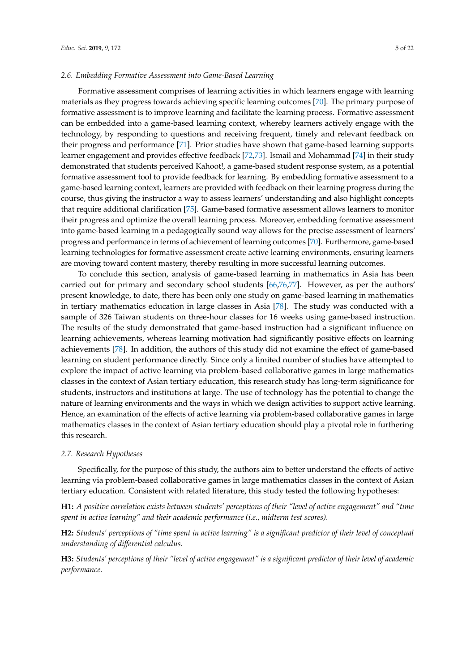#### *2.6. Embedding Formative Assessment into Game-Based Learning*

Formative assessment comprises of learning activities in which learners engage with learning materials as they progress towards achieving specific learning outcomes [\[70\]](#page-20-6). The primary purpose of formative assessment is to improve learning and facilitate the learning process. Formative assessment can be embedded into a game-based learning context, whereby learners actively engage with the technology, by responding to questions and receiving frequent, timely and relevant feedback on their progress and performance [\[71\]](#page-20-7). Prior studies have shown that game-based learning supports learner engagement and provides effective feedback [\[72,](#page-20-8)[73\]](#page-20-9). Ismail and Mohammad [\[74\]](#page-20-10) in their study demonstrated that students perceived Kahoot!, a game-based student response system, as a potential formative assessment tool to provide feedback for learning. By embedding formative assessment to a game-based learning context, learners are provided with feedback on their learning progress during the course, thus giving the instructor a way to assess learners' understanding and also highlight concepts that require additional clarification [\[75\]](#page-20-11). Game-based formative assessment allows learners to monitor their progress and optimize the overall learning process. Moreover, embedding formative assessment into game-based learning in a pedagogically sound way allows for the precise assessment of learners' progress and performance in terms of achievement of learning outcomes [\[70\]](#page-20-6). Furthermore, game-based learning technologies for formative assessment create active learning environments, ensuring learners are moving toward content mastery, thereby resulting in more successful learning outcomes.

To conclude this section, analysis of game-based learning in mathematics in Asia has been carried out for primary and secondary school students [\[66](#page-20-2)[,76](#page-20-12)[,77\]](#page-20-13). However, as per the authors' present knowledge, to date, there has been only one study on game-based learning in mathematics in tertiary mathematics education in large classes in Asia [\[78\]](#page-20-14). The study was conducted with a sample of 326 Taiwan students on three-hour classes for 16 weeks using game-based instruction. The results of the study demonstrated that game-based instruction had a significant influence on learning achievements, whereas learning motivation had significantly positive effects on learning achievements [\[78\]](#page-20-14). In addition, the authors of this study did not examine the effect of game-based learning on student performance directly. Since only a limited number of studies have attempted to explore the impact of active learning via problem-based collaborative games in large mathematics classes in the context of Asian tertiary education, this research study has long-term significance for students, instructors and institutions at large. The use of technology has the potential to change the nature of learning environments and the ways in which we design activities to support active learning. Hence, an examination of the effects of active learning via problem-based collaborative games in large mathematics classes in the context of Asian tertiary education should play a pivotal role in furthering this research.

#### *2.7. Research Hypotheses*

Specifically, for the purpose of this study, the authors aim to better understand the effects of active learning via problem-based collaborative games in large mathematics classes in the context of Asian tertiary education. Consistent with related literature, this study tested the following hypotheses:

**H1:** *A positive correlation exists between students' perceptions of their "level of active engagement" and "time spent in active learning" and their academic performance (i.e., midterm test scores).*

**H2:** *Students' perceptions of "time spent in active learning" is a significant predictor of their level of conceptual understanding of di*ff*erential calculus.*

**H3:** *Students' perceptions of their "level of active engagement" is a significant predictor of their level of academic performance.*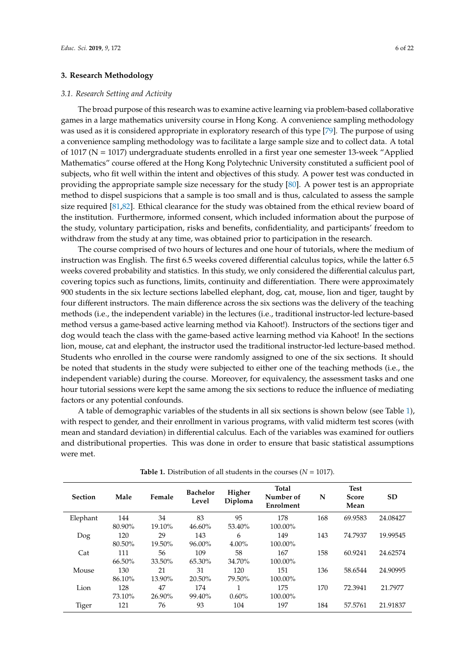# **3. Research Methodology**

#### *3.1. Research Setting and Activity*

The broad purpose of this research was to examine active learning via problem-based collaborative games in a large mathematics university course in Hong Kong. A convenience sampling methodology was used as it is considered appropriate in exploratory research of this type [\[79\]](#page-20-15). The purpose of using a convenience sampling methodology was to facilitate a large sample size and to collect data. A total of 1017 ( $N = 1017$ ) undergraduate students enrolled in a first year one semester 13-week "Applied" Mathematics" course offered at the Hong Kong Polytechnic University constituted a sufficient pool of subjects, who fit well within the intent and objectives of this study. A power test was conducted in providing the appropriate sample size necessary for the study [\[80\]](#page-20-16). A power test is an appropriate method to dispel suspicions that a sample is too small and is thus, calculated to assess the sample size required [\[81](#page-20-17)[,82\]](#page-20-18). Ethical clearance for the study was obtained from the ethical review board of the institution. Furthermore, informed consent, which included information about the purpose of the study, voluntary participation, risks and benefits, confidentiality, and participants' freedom to withdraw from the study at any time, was obtained prior to participation in the research.

The course comprised of two hours of lectures and one hour of tutorials, where the medium of instruction was English. The first 6.5 weeks covered differential calculus topics, while the latter 6.5 weeks covered probability and statistics. In this study, we only considered the differential calculus part, covering topics such as functions, limits, continuity and differentiation. There were approximately 900 students in the six lecture sections labelled elephant, dog, cat, mouse, lion and tiger, taught by four different instructors. The main difference across the six sections was the delivery of the teaching methods (i.e., the independent variable) in the lectures (i.e., traditional instructor-led lecture-based method versus a game-based active learning method via Kahoot!). Instructors of the sections tiger and dog would teach the class with the game-based active learning method via Kahoot! In the sections lion, mouse, cat and elephant, the instructor used the traditional instructor-led lecture-based method. Students who enrolled in the course were randomly assigned to one of the six sections. It should be noted that students in the study were subjected to either one of the teaching methods (i.e., the independent variable) during the course. Moreover, for equivalency, the assessment tasks and one hour tutorial sessions were kept the same among the six sections to reduce the influence of mediating factors or any potential confounds.

A table of demographic variables of the students in all six sections is shown below (see Table [1\)](#page-6-0), with respect to gender, and their enrollment in various programs, with valid midterm test scores (with mean and standard deviation) in differential calculus. Each of the variables was examined for outliers and distributional properties. This was done in order to ensure that basic statistical assumptions were met.

| <b>Section</b> | Male   | Female | <b>Bachelor</b><br>Level | Higher<br>Diploma | Total<br>Number of<br>Enrolment | N   | <b>Test</b><br><b>Score</b><br>Mean | <b>SD</b> |
|----------------|--------|--------|--------------------------|-------------------|---------------------------------|-----|-------------------------------------|-----------|
| Elephant       | 144    | 34     | 83                       | 95                | 178                             | 168 | 69.9583                             | 24.08427  |
|                | 80.90% | 19.10% | 46.60%                   | 53.40%            | 100.00%                         |     |                                     |           |
| Dog            | 120    | 29     | 143                      | 6                 | 149                             | 143 | 74.7937                             | 19.99545  |
|                | 80.50% | 19.50% | $96.00\%$                | $4.00\%$          | 100.00%                         |     |                                     |           |
| Cat            | 111    | 56     | 109                      | 58                | 167                             | 158 | 60.9241                             | 24.62574  |
|                | 66.50% | 33.50% | $65.30\%$                | 34.70%            | 100.00%                         |     |                                     |           |
| Mouse          | 130    | 21     | 31                       | 120               | 151                             | 136 | 58.6544                             | 24.90995  |
|                | 86.10% | 13.90% | $20.50\%$                | 79.50%            | 100.00%                         |     |                                     |           |
| Lion           | 128    | 47     | 174                      |                   | 175                             | 170 | 72.3941                             | 21.7977   |
|                | 73.10% | 26.90% | 99.40%                   | $0.60\%$          | 100.00%                         |     |                                     |           |
| Tiger          | 121    | 76     | 93                       | 104               | 197                             | 184 | 57.5761                             | 21.91837  |

**Table 1.** Distribution of all students in the courses ( $N = 1017$ ).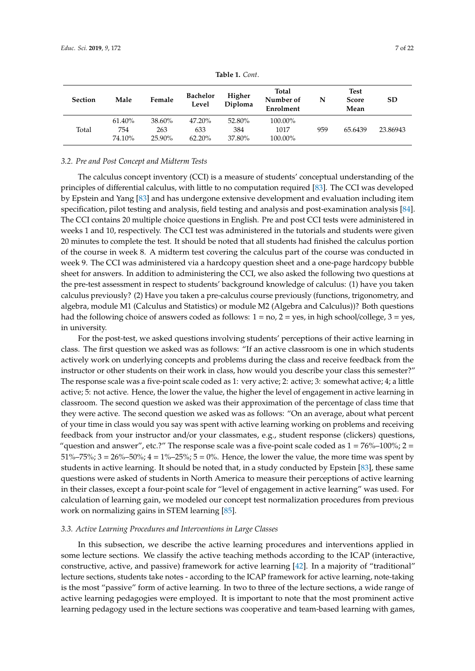|  |  | ı |
|--|--|---|
|  |  |   |
|  |  |   |

<span id="page-6-0"></span>

| <b>Section</b> | Male                       | Female                  | <b>Bachelor</b><br>Level   | Higher<br>Diploma       | Total<br>Number of<br>Enrolment | N   | <b>Test</b><br><b>Score</b><br>Mean | <b>SD</b> |
|----------------|----------------------------|-------------------------|----------------------------|-------------------------|---------------------------------|-----|-------------------------------------|-----------|
| Total          | $61.40\%$<br>754<br>74.10% | 38.60%<br>263<br>25.90% | 47.20%<br>633<br>$62.20\%$ | 52.80%<br>384<br>37.80% | 100.00%<br>1017<br>100.00%      | 959 | 65.6439                             | 23.86943  |

**Table 1.** *Cont*.

# <span id="page-6-1"></span>*3.2. Pre and Post Concept and Midterm Tests*

The calculus concept inventory (CCI) is a measure of students' conceptual understanding of the principles of differential calculus, with little to no computation required [\[83\]](#page-20-19). The CCI was developed by Epstein and Yang [\[83\]](#page-20-19) and has undergone extensive development and evaluation including item specification, pilot testing and analysis, field testing and analysis and post-examination analysis [\[84\]](#page-20-20). The CCI contains 20 multiple choice questions in English. Pre and post CCI tests were administered in weeks 1 and 10, respectively. The CCI test was administered in the tutorials and students were given 20 minutes to complete the test. It should be noted that all students had finished the calculus portion of the course in week 8. A midterm test covering the calculus part of the course was conducted in week 9. The CCI was administered via a hardcopy question sheet and a one-page hardcopy bubble sheet for answers. In addition to administering the CCI, we also asked the following two questions at the pre-test assessment in respect to students' background knowledge of calculus: (1) have you taken calculus previously? (2) Have you taken a pre-calculus course previously (functions, trigonometry, and algebra, module M1 (Calculus and Statistics) or module M2 (Algebra and Calculus))? Both questions had the following choice of answers coded as follows:  $1 = no$ ,  $2 = yes$ , in high school/college,  $3 = yes$ , in university.

For the post-test, we asked questions involving students' perceptions of their active learning in class. The first question we asked was as follows: "If an active classroom is one in which students actively work on underlying concepts and problems during the class and receive feedback from the instructor or other students on their work in class, how would you describe your class this semester?" The response scale was a five-point scale coded as 1: very active; 2: active; 3: somewhat active; 4; a little active; 5: not active. Hence, the lower the value, the higher the level of engagement in active learning in classroom. The second question we asked was their approximation of the percentage of class time that they were active. The second question we asked was as follows: "On an average, about what percent of your time in class would you say was spent with active learning working on problems and receiving feedback from your instructor and/or your classmates, e.g., student response (clickers) questions, "question and answer", etc.?" The response scale was a five-point scale coded as  $1 = 76\degree$ -100%;  $2 =$ 51%–75%;  $3 = 26\%$ –50%;  $4 = 1\%$ –25%;  $5 = 0\%$ . Hence, the lower the value, the more time was spent by students in active learning. It should be noted that, in a study conducted by Epstein [\[83\]](#page-20-19), these same questions were asked of students in North America to measure their perceptions of active learning in their classes, except a four-point scale for "level of engagement in active learning" was used. For calculation of learning gain, we modeled our concept test normalization procedures from previous work on normalizing gains in STEM learning [\[85\]](#page-20-21).

# *3.3. Active Learning Procedures and Interventions in Large Classes*

In this subsection, we describe the active learning procedures and interventions applied in some lecture sections. We classify the active teaching methods according to the ICAP (interactive, constructive, active, and passive) framework for active learning [\[42\]](#page-19-2). In a majority of "traditional" lecture sections, students take notes - according to the ICAP framework for active learning, note-taking is the most "passive" form of active learning. In two to three of the lecture sections, a wide range of active learning pedagogies were employed. It is important to note that the most prominent active learning pedagogy used in the lecture sections was cooperative and team-based learning with games,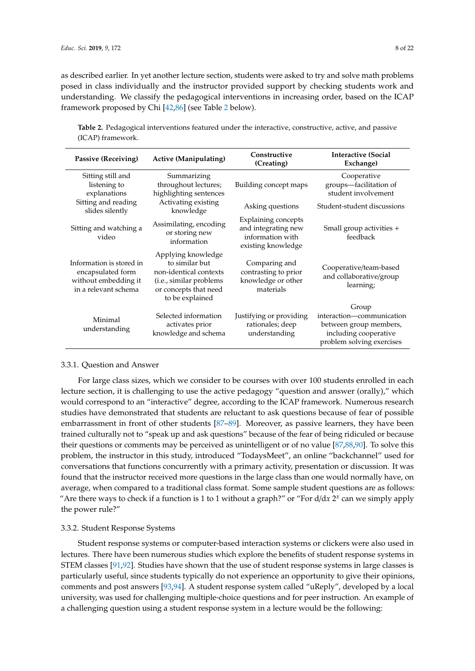as described earlier. In yet another lecture section, students were asked to try and solve math problems posed in class individually and the instructor provided support by checking students work and understanding. We classify the pedagogical interventions in increasing order, based on the ICAP framework proposed by Chi [\[42](#page-19-2)[,86\]](#page-20-22) (see Table [2](#page-7-0) below).

<span id="page-7-0"></span>**Table 2.** Pedagogical interventions featured under the interactive, constructive, active, and passive (ICAP) framework.

| Passive (Receiving)                                                                           | <b>Active (Manipulating)</b>                                                                                                          | Constructive<br>(Creating)                                                                  | <b>Interactive (Social</b><br>Exchange)                                                                            |  |
|-----------------------------------------------------------------------------------------------|---------------------------------------------------------------------------------------------------------------------------------------|---------------------------------------------------------------------------------------------|--------------------------------------------------------------------------------------------------------------------|--|
| Sitting still and<br>listening to<br>explanations                                             | Summarizing<br>throughout lectures;<br>highlighting sentences                                                                         | Building concept maps                                                                       | Cooperative<br>groups-facilitation of<br>student involvement                                                       |  |
| Sitting and reading<br>slides silently                                                        | Activating existing<br>knowledge                                                                                                      | Asking questions                                                                            | Student-student discussions                                                                                        |  |
| Sitting and watching a<br>video                                                               | Assimilating, encoding<br>or storing new<br>information                                                                               | <b>Explaining concepts</b><br>and integrating new<br>information with<br>existing knowledge | Small group activities +<br>feedback                                                                               |  |
| Information is stored in<br>encapsulated form<br>without embedding it<br>in a relevant schema | Applying knowledge<br>to similar but<br>non-identical contexts<br>(i.e., similar problems<br>or concepts that need<br>to be explained | Comparing and<br>contrasting to prior<br>knowledge or other<br>materials                    | Cooperative/team-based<br>and collaborative/group<br>learning;                                                     |  |
| Minimal<br>understanding                                                                      | Selected information<br>activates prior<br>knowledge and schema                                                                       | Justifying or providing<br>rationales; deep<br>understanding                                | Group<br>interaction-communication<br>between group members,<br>including cooperative<br>problem solving exercises |  |

# 3.3.1. Question and Answer

For large class sizes, which we consider to be courses with over 100 students enrolled in each lecture section, it is challenging to use the active pedagogy "question and answer (orally)," which would correspond to an "interactive" degree, according to the ICAP framework. Numerous research studies have demonstrated that students are reluctant to ask questions because of fear of possible embarrassment in front of other students [\[87](#page-21-0)[–89\]](#page-21-1). Moreover, as passive learners, they have been trained culturally not to "speak up and ask questions" because of the fear of being ridiculed or because their questions or comments may be perceived as unintelligent or of no value [\[87,](#page-21-0)[88,](#page-21-2)[90\]](#page-21-3). To solve this problem, the instructor in this study, introduced "TodaysMeet", an online "backchannel" used for conversations that functions concurrently with a primary activity, presentation or discussion. It was found that the instructor received more questions in the large class than one would normally have, on average, when compared to a traditional class format. Some sample student questions are as follows: "Are there ways to check if a function is 1 to 1 without a graph?" or "For d/d*x* 2 *x* can we simply apply the power rule?"

#### 3.3.2. Student Response Systems

Student response systems or computer-based interaction systems or clickers were also used in lectures. There have been numerous studies which explore the benefits of student response systems in STEM classes [\[91](#page-21-4)[,92\]](#page-21-5). Studies have shown that the use of student response systems in large classes is particularly useful, since students typically do not experience an opportunity to give their opinions, comments and post answers [\[93,](#page-21-6)[94\]](#page-21-7). A student response system called "uReply", developed by a local university, was used for challenging multiple-choice questions and for peer instruction. An example of a challenging question using a student response system in a lecture would be the following: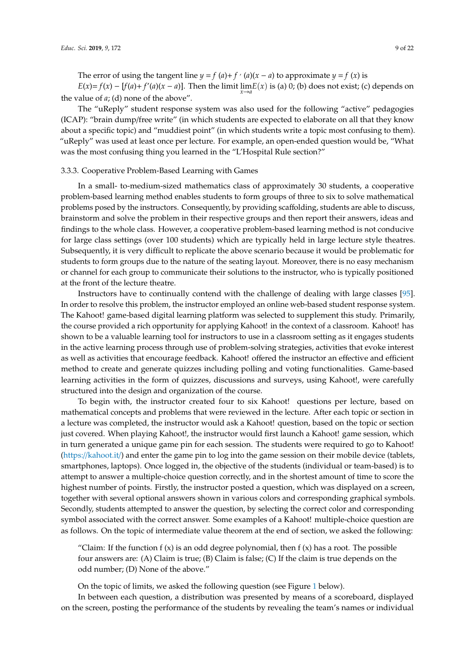The error of using the tangent line  $y = f(a) + f'(a)(x - a)$  to approximate  $y = f(x)$  is

 $E(x) = f(x) - [f(a) + f'(a)(x - a)]$ . Then the limit  $\lim_{x \to a} E(x)$  is (a) 0; (b) does not exist; (c) depends on the value of *a*; (d) none of the above".

The "uReply" student response system was also used for the following "active" pedagogies (ICAP): "brain dump/free write" (in which students are expected to elaborate on all that they know about a specific topic) and "muddiest point" (in which students write a topic most confusing to them). "uReply" was used at least once per lecture. For example, an open-ended question would be, "What was the most confusing thing you learned in the "L'Hospital Rule section?"

## <span id="page-8-0"></span>3.3.3. Cooperative Problem-Based Learning with Games

In a small- to-medium-sized mathematics class of approximately 30 students, a cooperative problem-based learning method enables students to form groups of three to six to solve mathematical problems posed by the instructors. Consequently, by providing scaffolding, students are able to discuss, brainstorm and solve the problem in their respective groups and then report their answers, ideas and findings to the whole class. However, a cooperative problem-based learning method is not conducive for large class settings (over 100 students) which are typically held in large lecture style theatres. Subsequently, it is very difficult to replicate the above scenario because it would be problematic for students to form groups due to the nature of the seating layout. Moreover, there is no easy mechanism or channel for each group to communicate their solutions to the instructor, who is typically positioned at the front of the lecture theatre.

Instructors have to continually contend with the challenge of dealing with large classes [\[95\]](#page-21-8). In order to resolve this problem, the instructor employed an online web-based student response system. The Kahoot! game-based digital learning platform was selected to supplement this study. Primarily, the course provided a rich opportunity for applying Kahoot! in the context of a classroom. Kahoot! has shown to be a valuable learning tool for instructors to use in a classroom setting as it engages students in the active learning process through use of problem-solving strategies, activities that evoke interest as well as activities that encourage feedback. Kahoot! offered the instructor an effective and efficient method to create and generate quizzes including polling and voting functionalities. Game-based learning activities in the form of quizzes, discussions and surveys, using Kahoot!, were carefully structured into the design and organization of the course.

To begin with, the instructor created four to six Kahoot! questions per lecture, based on mathematical concepts and problems that were reviewed in the lecture. After each topic or section in a lecture was completed, the instructor would ask a Kahoot! question, based on the topic or section just covered. When playing Kahoot!, the instructor would first launch a Kahoot! game session, which in turn generated a unique game pin for each session. The students were required to go to Kahoot! (https://[kahoot.it](https://kahoot.it/)/) and enter the game pin to log into the game session on their mobile device (tablets, smartphones, laptops). Once logged in, the objective of the students (individual or team-based) is to attempt to answer a multiple-choice question correctly, and in the shortest amount of time to score the highest number of points. Firstly, the instructor posted a question, which was displayed on a screen, together with several optional answers shown in various colors and corresponding graphical symbols. Secondly, students attempted to answer the question, by selecting the correct color and corresponding symbol associated with the correct answer. Some examples of a Kahoot! multiple-choice question are as follows. On the topic of intermediate value theorem at the end of section, we asked the following:

"Claim: If the function  $f(x)$  is an odd degree polynomial, then  $f(x)$  has a root. The possible four answers are: (A) Claim is true; (B) Claim is false; (C) If the claim is true depends on the odd number; (D) None of the above."

On the topic of limits, we asked the following question (see Figure [1](#page-9-0) below).

In between each question, a distribution was presented by means of a scoreboard, displayed on the screen, posting the performance of the students by revealing the team's names or individual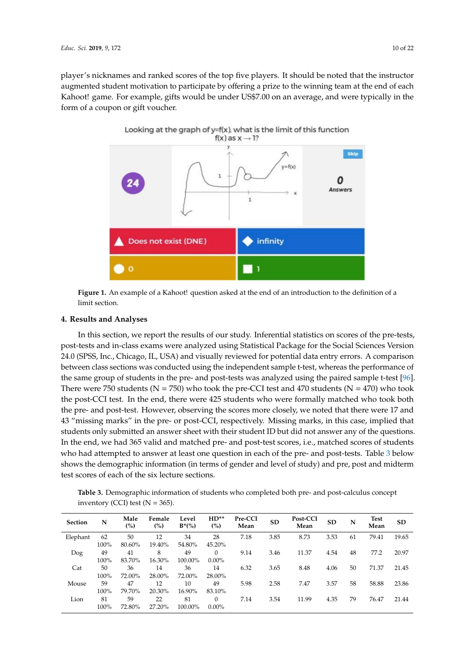player's nicknames and ranked scores of the top five players. It should be noted that the instructor augmented student motivation to participate by offering a prize to the winning team at the end of each<br>*I* Kahoot! game. For example, gifts would be under US\$7.00 on an average, and were typically in the form of a coupon or gift voucher.

<span id="page-9-0"></span>

**Figure 1.** An example of a Kahoot! question asked at the end of an introduction to the definition of a little i limit section. limit section.

# **4. Results and Analyses**

In between each question, a distribution was presented by means of a scoreboard, displayed on In this section, we report the results of our study. Inferential statistics on scores of the pre-tests, post-tests and in-class exams were analyzed using Statistical Package for the Social Sciences Version<br>Protocology and instructor of the instructor of the instructor of the Social Sciences Version 24.0 (SPSS, Inc., Chicago, IL, USA) and visually reviewed for potential data entry errors. A comparison<br>. between class sections was conducted using the independent sample t-test, whereas the performance of the same group of students in the pre- and post-tests was analyzed using the paired sample t-test [\[96\]](#page-21-9). the post-CCI test. In the end, there were 425 students who were formally matched who took both <sup>1</sup> "missing marks" in the pre- or post-CCI, respectively. Missing marks, in this case, implied that students only submitted an answer sheet with their student ID but did not answer any of the questions. In the end, we had 365 valid and matched pre- and post-test scores, i.e., matched scores of students who had attempted to answer at least one question in each of the pre- and post-tests. Table [3](#page-10-0) below shows the demographic information (in terms of gender and level of study) and pre, post and midterm test scores of each of the six lecture sections. There were 750 students ( $N = 750$ ) who took the pre-CCI test and 470 students ( $N = 470$ ) who took the pre- and post-test. However, observing the scores more closely, we noted that there were 17 and

**Table 3.** Demographic information of students who completed both pre- and post-calculus concept inventory (CCI) test ( $N = 365$ ).

| <b>Section</b> | N          | Male<br>(%)  | Female<br>(%) | Level<br>$B^*(\%)$ | $HD**$<br>(%)            | Pre-CCI<br>Mean | <b>SD</b> | Post-CCI<br>Mean | <b>SD</b> | N  | <b>Test</b><br>Mean | <b>SD</b> |
|----------------|------------|--------------|---------------|--------------------|--------------------------|-----------------|-----------|------------------|-----------|----|---------------------|-----------|
| Elephant       | 62<br>100% | 50<br>80.60% | 12<br>19.40%  | 34<br>54.80%       | 28<br>$45.20\%$          | 7.18            | 3.85      | 8.73             | 3.53      | 61 | 79.41               | 19.65     |
| Dog            | 49<br>100% | 41<br>83.70% | 8<br>16.30%   | 49<br>100.00%      | $\mathbf{0}$<br>$0.00\%$ | 9.14            | 3.46      | 11.37            | 4.54      | 48 | 77.2                | 20.97     |
| Cat            | 50<br>100% | 36<br>72.00% | 14<br>28.00%  | 36<br>72.00%       | 14<br>28.00%             | 6.32            | 3.65      | 8.48             | 4.06      | 50 | 71.37               | 21.45     |
| Mouse          | 59<br>100% | 47<br>79.70% | 12<br>20.30%  | 10<br>16.90%       | 49<br>83.10%             | 5.98            | 2.58      | 7.47             | 3.57      | 58 | 58.88               | 23.86     |
| Lion           | 81<br>100% | 59<br>72.80% | 22<br>27.20%  | 81<br>100.00%      | $\Omega$<br>$0.00\%$     | 7.14            | 3.54      | 11.99            | 4.35      | 79 | 76.47               | 21.44     |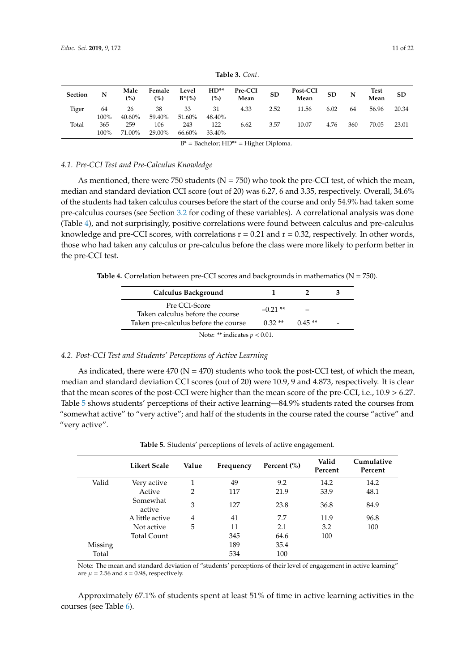<span id="page-10-0"></span>

| <b>Section</b> | N              | Male<br>(%)   | Female<br>(%) | Level<br>$B^*(\%)$ | $HD**$<br>(%) | Pre-CCI<br>Mean | <b>SD</b> | Post-CCI<br>Mean | <b>SD</b> | N   | <b>Test</b><br>Mean | <b>SD</b> |
|----------------|----------------|---------------|---------------|--------------------|---------------|-----------------|-----------|------------------|-----------|-----|---------------------|-----------|
| Tiger          | 64<br>100%     | 26<br>40.60%  | 38<br>59.40%  | 33<br>51.60%       | 31<br>48.40%  | 4.33            | 2.52      | 11.56            | 6.02      | 64  | 56.96               | 20.34     |
| Total          | 365<br>$100\%$ | 259<br>71.00% | 106<br>29.00% | 243<br>66.60%      | 122<br>33.40% | 6.62            | 3.57      | 10.07            | 4.76      | 360 | 70.05               | 23.01     |

**Table 3.** *Cont*.

B\* = Bachelor; HD\*\* = Higher Diploma.

#### <span id="page-10-3"></span>*4.1. Pre-CCI Test and Pre-Calculus Knowledge*

As mentioned, there were 750 students ( $N = 750$ ) who took the pre-CCI test, of which the mean, median and standard deviation CCI score (out of 20) was 6.27, 6 and 3.35, respectively. Overall, 34.6% of the students had taken calculus courses before the start of the course and only 54.9% had taken some pre-calculus courses (see Section [3.2](#page-6-1) for coding of these variables). A correlational analysis was done (Table [4\)](#page-10-1), and not surprisingly, positive correlations were found between calculus and pre-calculus knowledge and pre-CCI scores, with correlations  $r = 0.21$  and  $r = 0.32$ , respectively. In other words, those who had taken any calculus or pre-calculus before the class were more likely to perform better in the pre-CCI test.

<span id="page-10-1"></span>**Table 4.** Correlation between pre-CCI scores and backgrounds in mathematics ( $N = 750$ ).

| Calculus Background                               |            |          |  |  |  |  |  |
|---------------------------------------------------|------------|----------|--|--|--|--|--|
| Pre CCI-Score<br>Taken calculus before the course | $-0.21$ ** |          |  |  |  |  |  |
| Taken pre-calculus before the course              | $0.32**$   | $0.45**$ |  |  |  |  |  |
| Note: ** indicates $p < 0.01$ .                   |            |          |  |  |  |  |  |

# *4.2. Post-CCI Test and Students' Perceptions of Active Learning*

As indicated, there were 470 ( $N = 470$ ) students who took the post-CCI test, of which the mean, median and standard deviation CCI scores (out of 20) were 10.9, 9 and 4.873, respectively. It is clear that the mean scores of the post-CCI were higher than the mean score of the pre-CCI, i.e., 10.9 > 6.27. Table [5](#page-10-2) shows students' perceptions of their active learning—84.9% students rated the courses from "somewhat active" to "very active"; and half of the students in the course rated the course "active" and "very active".

<span id="page-10-2"></span>

| Likert Scale       | Value          | Frequency | Percent $(\% )$ | Valid<br>Percent | Cumulative<br>Percent |
|--------------------|----------------|-----------|-----------------|------------------|-----------------------|
| Very active        |                | 49        | 9.2             | 14.2             | 14.2                  |
| Active             | $\overline{2}$ | 117       | 21.9            | 33.9             | 48.1                  |
| Somewhat<br>active | 3              | 127       | 23.8            | 36.8             | 84.9                  |
| A little active    | $\overline{4}$ | 41        | 7.7             | 11.9             | 96.8                  |
| Not active         | 5              | 11        | 2.1             | 3.2              | 100                   |
| Total Count        |                | 345       | 64.6            | 100              |                       |
|                    |                | 189       | 35.4            |                  |                       |
|                    |                | 534       | 100             |                  |                       |
|                    |                |           |                 |                  |                       |

**Table 5.** Students' perceptions of levels of active engagement.

Note: The mean and standard deviation of "students' perceptions of their level of engagement in active learning" are  $\mu$  = 2.56 and  $s$  = 0.98, respectively.

Approximately 67.1% of students spent at least 51% of time in active learning activities in the courses (see Table [6\)](#page-11-0).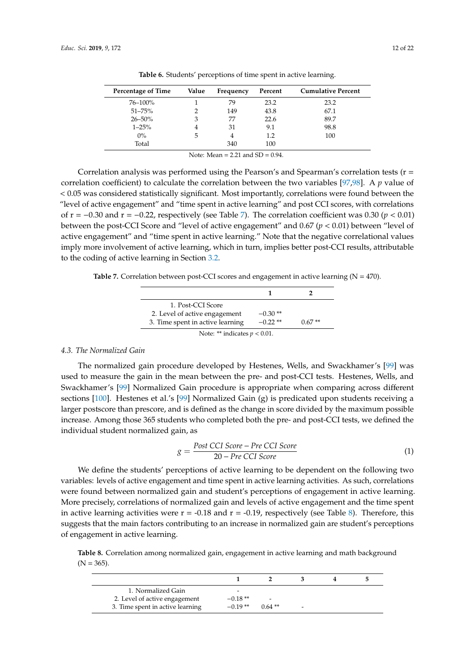<span id="page-11-0"></span>

| Percentage of Time | Value | Frequency | Percent | <b>Cumulative Percent</b> |
|--------------------|-------|-----------|---------|---------------------------|
| 76-100%            |       | 79        | 23.2    | 23.2                      |
| $51 - 75%$         |       | 149       | 43.8    | 67.1                      |
| 26–50%             |       | 77        | 22.6    | 89.7                      |
| $1 - 25%$          |       | 31        | 9.1     | 98.8                      |
| $0\%$              | 5     |           | 1.2     | 100                       |
| Total              |       | 340       | 100     |                           |

**Table 6.** Students' perceptions of time spent in active learning.

Note: Mean =  $2.21$  and  $SD = 0.94$ .

Correlation analysis was performed using the Pearson's and Spearman's correlation tests ( $r =$ correlation coefficient) to calculate the correlation between the two variables [\[97,](#page-21-10)[98\]](#page-21-11). A *p* value of < 0.05 was considered statistically significant. Most importantly, correlations were found between the "level of active engagement" and "time spent in active learning" and post CCI scores, with correlations of  $r = -0.30$  and  $r = -0.22$ , respectively (see Table [7\)](#page-11-1). The correlation coefficient was 0.30 ( $p < 0.01$ ) between the post-CCI Score and "level of active engagement" and 0.67 (*p* < 0.01) between "level of active engagement" and "time spent in active learning." Note that the negative correlational values imply more involvement of active learning, which in turn, implies better post-CCI results, attributable to the coding of active learning in Section [3.2.](#page-6-1)

<span id="page-11-1"></span>**Table 7.** Correlation between post-CCI scores and engagement in active learning  $(N = 470)$ .

| 1. Post-CCI Score                |           |          |  |  |  |  |
|----------------------------------|-----------|----------|--|--|--|--|
| 2. Level of active engagement    | $-0.30**$ |          |  |  |  |  |
| 3. Time spent in active learning | $-0.22**$ | $0.67**$ |  |  |  |  |
| Note: ** indicates $p < 0.01$ .  |           |          |  |  |  |  |

#### <span id="page-11-2"></span>*4.3. The Normalized Gain*

The normalized gain procedure developed by Hestenes, Wells, and Swackhamer's [\[99\]](#page-21-12) was used to measure the gain in the mean between the pre- and post-CCI tests. Hestenes, Wells, and Swackhamer's [\[99\]](#page-21-12) Normalized Gain procedure is appropriate when comparing across different sections [\[100\]](#page-21-13). Hestenes et al.'s [\[99\]](#page-21-12) Normalized Gain (g) is predicated upon students receiving a larger postscore than prescore, and is defined as the change in score divided by the maximum possible increase. Among those 365 students who completed both the pre- and post-CCI tests, we defined the individual student normalized gain, as

$$
g = \frac{Post\ CCI\ Score - Pre\ CCI\ Score}{20 - Pre\ CCI\ Score}
$$
 (1)

We define the students' perceptions of active learning to be dependent on the following two variables: levels of active engagement and time spent in active learning activities. As such, correlations were found between normalized gain and student's perceptions of engagement in active learning. More precisely, correlations of normalized gain and levels of active engagement and the time spent in active learning activities were  $r = -0.18$  and  $r = -0.19$ , respectively (see Table [8\)](#page-12-0). Therefore, this suggests that the main factors contributing to an increase in normalized gain are student's perceptions of engagement in active learning.

**Table 8.** Correlation among normalized gain, engagement in active learning and math background  $(N = 365)$ .

| 1. Normalized Gain<br>2. Level of active engagement | -<br>$-0.18**$ |          |  |  |
|-----------------------------------------------------|----------------|----------|--|--|
| 3. Time spent in active learning                    | $-0.19**$      | $0.64**$ |  |  |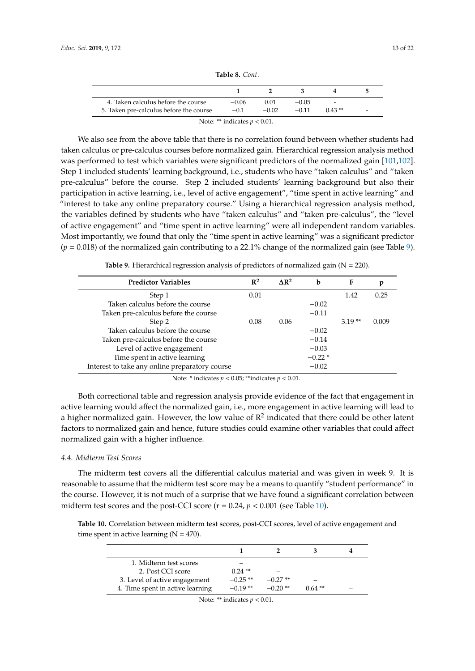<span id="page-12-0"></span>

| 4. Taken calculus before the course     | $-0.06$ | 0.01    | $-0.05$ | $\overline{\phantom{0}}$ |  |  |  |  |
|-----------------------------------------|---------|---------|---------|--------------------------|--|--|--|--|
| 5. Taken pre-calculus before the course | $-0.1$  | $-0.02$ | $-0.11$ | $0.43**$                 |  |  |  |  |
|                                         |         |         |         |                          |  |  |  |  |

| Table 8. Cont. |
|----------------|
|----------------|

Note: \*\* indicates  $p < 0.01$ .

We also see from the above table that there is no correlation found between whether students had taken calculus or pre-calculus courses before normalized gain. Hierarchical regression analysis method was performed to test which variables were significant predictors of the normalized gain [\[101,](#page-21-14)[102\]](#page-21-15). Step 1 included students' learning background, i.e., students who have "taken calculus" and "taken pre-calculus" before the course. Step 2 included students' learning background but also their participation in active learning, i.e., level of active engagement", "time spent in active learning" and "interest to take any online preparatory course." Using a hierarchical regression analysis method, the variables defined by students who have "taken calculus" and "taken pre-calculus", the "level of active engagement" and "time spent in active learning" were all independent random variables. Most importantly, we found that only the "time spent in active learning" was a significant predictor (*p* = 0.018) of the normalized gain contributing to a 22.1% change of the normalized gain (see Table [9\)](#page-12-1).

**Table 9.** Hierarchical regression analysis of predictors of normalized gain  $(N = 220)$ .

<span id="page-12-1"></span>

| <b>Predictor Variables</b>                     | $R^2$ | $\Lambda$ R <sup>2</sup> | b        | F        | p     |
|------------------------------------------------|-------|--------------------------|----------|----------|-------|
| Step 1                                         | 0.01  |                          |          | 1.42     | 0.25  |
| Taken calculus before the course               |       |                          | $-0.02$  |          |       |
| Taken pre-calculus before the course           |       |                          | $-0.11$  |          |       |
| Step 2                                         | 0.08  | 0.06                     |          | $3.19**$ | 0.009 |
| Taken calculus before the course               |       |                          | $-0.02$  |          |       |
| Taken pre-calculus before the course           |       |                          | $-0.14$  |          |       |
| Level of active engagement                     |       |                          | $-0.03$  |          |       |
| Time spent in active learning                  |       |                          | $-0.22*$ |          |       |
| Interest to take any online preparatory course |       |                          | $-0.02$  |          |       |

Note:  $*$  indicates  $p < 0.05$ ;  $**$  indicates  $p < 0.01$ .

Both correctional table and regression analysis provide evidence of the fact that engagement in active learning would affect the normalized gain, i.e., more engagement in active learning will lead to a higher normalized gain. However, the low value of  $R^2$  indicated that there could be other latent factors to normalized gain and hence, future studies could examine other variables that could affect normalized gain with a higher influence.

# <span id="page-12-3"></span>*4.4. Midterm Test Scores*

The midterm test covers all the differential calculus material and was given in week 9. It is reasonable to assume that the midterm test score may be a means to quantify "student performance" in the course. However, it is not much of a surprise that we have found a significant correlation between midterm test scores and the post-CCI score ( $r = 0.24$ ,  $p < 0.001$  (see Table [10\)](#page-12-2).

<span id="page-12-2"></span>**Table 10.** Correlation between midterm test scores, post-CCI scores, level of active engagement and time spent in active learning  $(N = 470)$ .

| 1. Midterm test scores           |           |           |          |  |
|----------------------------------|-----------|-----------|----------|--|
| 2. Post CCI score                | $0.24**$  |           |          |  |
| 3. Level of active engagement    | $-0.25**$ | $-0.27**$ |          |  |
| 4. Time spent in active learning | $-0.19**$ | $-0.20**$ | $0.64**$ |  |

Note: \*\* indicates  $p < 0.01$ .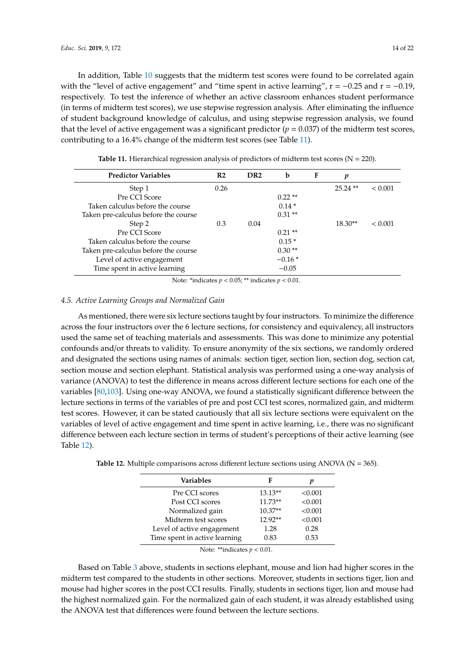In addition, Table [10](#page-12-2) suggests that the midterm test scores were found to be correlated again with the "level of active engagement" and "time spent in active learning",  $r = -0.25$  and  $r = -0.19$ , respectively. To test the inference of whether an active classroom enhances student performance (in terms of midterm test scores), we use stepwise regression analysis. After eliminating the influence of student background knowledge of calculus, and using stepwise regression analysis, we found that the level of active engagement was a significant predictor ( $p = 0.037$ ) of the midterm test scores, contributing to a 16.4% change of the midterm test scores (see Table [11\)](#page-13-0).

<span id="page-13-0"></span>

| <b>Predictor Variables</b>           | R2   | DR <sub>2</sub> | b         | F | р         |         |
|--------------------------------------|------|-----------------|-----------|---|-----------|---------|
| Step 1                               | 0.26 |                 |           |   | $25.24**$ | < 0.001 |
| Pre CCI Score                        |      |                 | $0.22**$  |   |           |         |
| Taken calculus before the course     |      |                 | $0.14*$   |   |           |         |
| Taken pre-calculus before the course |      |                 | $0.31**$  |   |           |         |
| Step 2                               | 0.3  | 0.04            |           |   | $18.30**$ | < 0.001 |
| Pre CCI Score                        |      |                 | $0.21$ ** |   |           |         |
| Taken calculus before the course     |      |                 | $0.15*$   |   |           |         |
| Taken pre-calculus before the course |      |                 | $0.30**$  |   |           |         |
| Level of active engagement           |      |                 | $-0.16*$  |   |           |         |
| Time spent in active learning        |      |                 | $-0.05$   |   |           |         |

**Table 11.** Hierarchical regression analysis of predictors of midterm test scores (N = 220).

Note: \*indicates  $p < 0.05$ ; \*\* indicates  $p < 0.01$ .

#### <span id="page-13-2"></span>*4.5. Active Learning Groups and Normalized Gain*

As mentioned, there were six lecture sections taught by four instructors. To minimize the difference across the four instructors over the 6 lecture sections, for consistency and equivalency, all instructors used the same set of teaching materials and assessments. This was done to minimize any potential confounds and/or threats to validity. To ensure anonymity of the six sections, we randomly ordered and designated the sections using names of animals: section tiger, section lion, section dog, section cat, section mouse and section elephant. Statistical analysis was performed using a one-way analysis of variance (ANOVA) to test the difference in means across different lecture sections for each one of the variables [\[80](#page-20-16)[,103\]](#page-21-16). Using one-way ANOVA, we found a statistically significant difference between the lecture sections in terms of the variables of pre and post CCI test scores, normalized gain, and midterm test scores. However, it can be stated cautiously that all six lecture sections were equivalent on the variables of level of active engagement and time spent in active learning, i.e., there was no significant difference between each lecture section in terms of student's perceptions of their active learning (see Table [12\)](#page-13-1).

| <b>Variables</b>              | F         | р       |
|-------------------------------|-----------|---------|
| Pre CCI scores                | $13.13**$ | < 0.001 |
| Post CCI scores               | $11.73**$ | < 0.001 |
| Normalized gain               | $10.37**$ | < 0.001 |
| Midterm test scores           | $12.92**$ | < 0.001 |
| Level of active engagement    | 1.28      | 0.28    |
| Time spent in active learning | 0.83      | 0.53    |

<span id="page-13-1"></span>**Table 12.** Multiple comparisons across different lecture sections using ANOVA (N = 365).

Note: \*\*indicates *p* < 0.01.

Based on Table [3](#page-10-0) above, students in sections elephant, mouse and lion had higher scores in the midterm test compared to the students in other sections. Moreover, students in sections tiger, lion and mouse had higher scores in the post CCI results. Finally, students in sections tiger, lion and mouse had the highest normalized gain. For the normalized gain of each student, it was already established using the ANOVA test that differences were found between the lecture sections.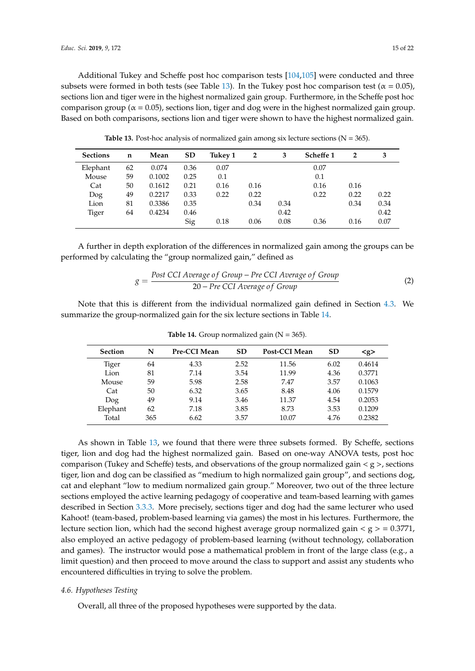Additional Tukey and Scheffe post hoc comparison tests [\[104](#page-21-17)[,105\]](#page-21-18) were conducted and three subsets were formed in both tests (see Table [13\)](#page-14-0). In the Tukey post hoc comparison test ( $\alpha = 0.05$ ), sections lion and tiger were in the highest normalized gain group. Furthermore, in the Scheffe post hoc comparison group ( $\alpha$  = 0.05), sections lion, tiger and dog were in the highest normalized gain group. Based on both comparisons, sections lion and tiger were shown to have the highest normalized gain.

<span id="page-14-0"></span>

| <b>Sections</b> | n  | Mean   | <b>SD</b> | Tukey 1 | $\mathbf{2}$ | 3    | Scheffe 1 | $\overline{2}$ | 3    |
|-----------------|----|--------|-----------|---------|--------------|------|-----------|----------------|------|
| Elephant        | 62 | 0.074  | 0.36      | 0.07    |              |      | 0.07      |                |      |
| Mouse           | 59 | 0.1002 | 0.25      | 0.1     |              |      | 0.1       |                |      |
| Cat             | 50 | 0.1612 | 0.21      | 0.16    | 0.16         |      | 0.16      | 0.16           |      |
| Dog             | 49 | 0.2217 | 0.33      | 0.22    | 0.22         |      | 0.22      | 0.22           | 0.22 |
| Lion            | 81 | 0.3386 | 0.35      |         | 0.34         | 0.34 |           | 0.34           | 0.34 |
| Tiger           | 64 | 0.4234 | 0.46      |         |              | 0.42 |           |                | 0.42 |
|                 |    |        | Sig       | 0.18    | 0.06         | 0.08 | 0.36      | 0.16           | 0.07 |

**Table 13.** Post-hoc analysis of normalized gain among six lecture sections ( $N = 365$ ).

A further in depth exploration of the differences in normalized gain among the groups can be performed by calculating the "group normalized gain," defined as

$$
g = \frac{Post \ CCI \ Average \ of \ Group - Pre \ CCI \ Average \ of \ Group}{20 - Pre \ CCI \ Average \ of \ Group} \tag{2}
$$

<span id="page-14-1"></span>Note that this is different from the individual normalized gain defined in Section [4.3.](#page-11-2) We summarize the group-normalized gain for the six lecture sections in Table [14.](#page-14-1)

| <b>Section</b> | N   | Pre-CCI Mean | <b>SD</b> | Post-CCI Mean | <b>SD</b> | < g >  |
|----------------|-----|--------------|-----------|---------------|-----------|--------|
| Tiger          | 64  | 4.33         | 2.52      | 11.56         | 6.02      | 0.4614 |
| Lion           | 81  | 7.14         | 3.54      | 11.99         | 4.36      | 0.3771 |
| Mouse          | 59  | 5.98         | 2.58      | 7.47          | 3.57      | 0.1063 |
| Cat            | 50  | 6.32         | 3.65      | 8.48          | 4.06      | 0.1579 |
| Dog            | 49  | 9.14         | 3.46      | 11.37         | 4.54      | 0.2053 |
| Elephant       | 62  | 7.18         | 3.85      | 8.73          | 3.53      | 0.1209 |
| Total          | 365 | 6.62         | 3.57      | 10.07         | 4.76      | 0.2382 |

**Table 14.** Group normalized gain  $(N = 365)$ .

As shown in Table [13,](#page-14-0) we found that there were three subsets formed. By Scheffe, sections tiger, lion and dog had the highest normalized gain. Based on one-way ANOVA tests, post hoc comparison (Tukey and Scheffe) tests, and observations of the group normalized gain  $\lt g$   $>$ , sections tiger, lion and dog can be classified as "medium to high normalized gain group", and sections dog, cat and elephant "low to medium normalized gain group." Moreover, two out of the three lecture sections employed the active learning pedagogy of cooperative and team-based learning with games described in Section [3.3.3.](#page-8-0) More precisely, sections tiger and dog had the same lecturer who used Kahoot! (team-based, problem-based learning via games) the most in his lectures. Furthermore, the lecture section lion, which had the second highest average group normalized gain  $\langle g \rangle = 0.3771$ , also employed an active pedagogy of problem-based learning (without technology, collaboration and games). The instructor would pose a mathematical problem in front of the large class (e.g., a limit question) and then proceed to move around the class to support and assist any students who encountered difficulties in trying to solve the problem.

#### *4.6. Hypotheses Testing*

Overall, all three of the proposed hypotheses were supported by the data.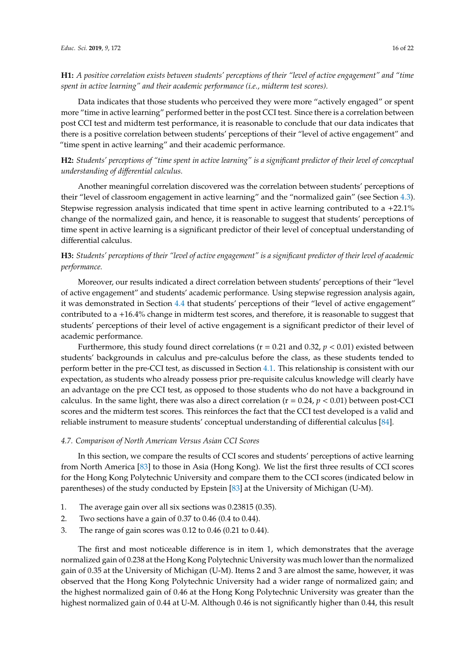Data indicates that those students who perceived they were more "actively engaged" or spent more "time in active learning" performed better in the post CCI test. Since there is a correlation between post CCI test and midterm test performance, it is reasonable to conclude that our data indicates that there is a positive correlation between students' perceptions of their "level of active engagement" and "time spent in active learning" and their academic performance.

# **H2:** *Students' perceptions of "time spent in active learning" is a significant predictor of their level of conceptual understanding of di*ff*erential calculus.*

Another meaningful correlation discovered was the correlation between students' perceptions of their "level of classroom engagement in active learning" and the "normalized gain" (see Section [4.3\)](#page-11-2). Stepwise regression analysis indicated that time spent in active learning contributed to a +22.1% change of the normalized gain, and hence, it is reasonable to suggest that students' perceptions of time spent in active learning is a significant predictor of their level of conceptual understanding of differential calculus.

# **H3:** *Students' perceptions of their "level of active engagement" is a significant predictor of their level of academic performance.*

Moreover, our results indicated a direct correlation between students' perceptions of their "level of active engagement" and students' academic performance. Using stepwise regression analysis again, it was demonstrated in Section [4.4](#page-12-3) that students' perceptions of their "level of active engagement" contributed to a +16.4% change in midterm test scores, and therefore, it is reasonable to suggest that students' perceptions of their level of active engagement is a significant predictor of their level of academic performance.

Furthermore, this study found direct correlations ( $r = 0.21$  and 0.32,  $p < 0.01$ ) existed between students' backgrounds in calculus and pre-calculus before the class, as these students tended to perform better in the pre-CCI test, as discussed in Section [4.1.](#page-10-3) This relationship is consistent with our expectation, as students who already possess prior pre-requisite calculus knowledge will clearly have an advantage on the pre CCI test, as opposed to those students who do not have a background in calculus. In the same light, there was also a direct correlation ( $r = 0.24$ ,  $p < 0.01$ ) between post-CCI scores and the midterm test scores. This reinforces the fact that the CCI test developed is a valid and reliable instrument to measure students' conceptual understanding of differential calculus [\[84\]](#page-20-20).

# *4.7. Comparison of North American Versus Asian CCI Scores*

In this section, we compare the results of CCI scores and students' perceptions of active learning from North America [\[83\]](#page-20-19) to those in Asia (Hong Kong). We list the first three results of CCI scores for the Hong Kong Polytechnic University and compare them to the CCI scores (indicated below in parentheses) of the study conducted by Epstein [\[83\]](#page-20-19) at the University of Michigan (U-M).

- 1. The average gain over all six sections was 0.23815 (0.35).
- 2. Two sections have a gain of 0.37 to 0.46 (0.4 to 0.44).
- 3. The range of gain scores was 0.12 to 0.46 (0.21 to 0.44).

The first and most noticeable difference is in item 1, which demonstrates that the average normalized gain of 0.238 at the Hong Kong Polytechnic University was much lower than the normalized gain of 0.35 at the University of Michigan (U-M). Items 2 and 3 are almost the same, however, it was observed that the Hong Kong Polytechnic University had a wider range of normalized gain; and the highest normalized gain of 0.46 at the Hong Kong Polytechnic University was greater than the highest normalized gain of 0.44 at U-M. Although 0.46 is not significantly higher than 0.44, this result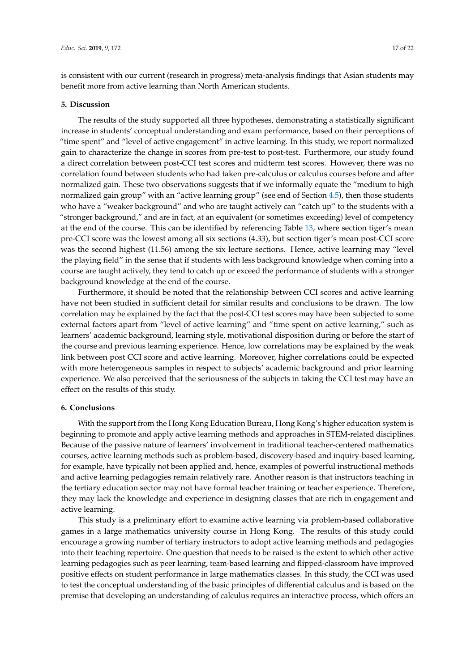is consistent with our current (research in progress) meta-analysis findings that Asian students may benefit more from active learning than North American students.

# **5. Discussion**

The results of the study supported all three hypotheses, demonstrating a statistically significant increase in students' conceptual understanding and exam performance, based on their perceptions of "time spent" and "level of active engagement" in active learning. In this study, we report normalized gain to characterize the change in scores from pre-test to post-test. Furthermore, our study found a direct correlation between post-CCI test scores and midterm test scores. However, there was no correlation found between students who had taken pre-calculus or calculus courses before and after normalized gain. These two observations suggests that if we informally equate the "medium to high normalized gain group" with an "active learning group" (see end of Section [4.5\)](#page-13-2), then those students who have a "weaker background" and who are taught actively can "catch up" to the students with a "stronger background," and are in fact, at an equivalent (or sometimes exceeding) level of competency at the end of the course. This can be identified by referencing Table [13,](#page-14-0) where section tiger's mean pre-CCI score was the lowest among all six sections (4.33), but section tiger's mean post-CCI score was the second highest (11.56) among the six lecture sections. Hence, active learning may "level the playing field" in the sense that if students with less background knowledge when coming into a course are taught actively, they tend to catch up or exceed the performance of students with a stronger background knowledge at the end of the course.

Furthermore, it should be noted that the relationship between CCI scores and active learning have not been studied in sufficient detail for similar results and conclusions to be drawn. The low correlation may be explained by the fact that the post-CCI test scores may have been subjected to some external factors apart from "level of active learning" and "time spent on active learning," such as learners' academic background, learning style, motivational disposition during or before the start of the course and previous learning experience. Hence, low correlations may be explained by the weak link between post CCI score and active learning. Moreover, higher correlations could be expected with more heterogeneous samples in respect to subjects' academic background and prior learning experience. We also perceived that the seriousness of the subjects in taking the CCI test may have an effect on the results of this study.

# **6. Conclusions**

With the support from the Hong Kong Education Bureau, Hong Kong's higher education system is beginning to promote and apply active learning methods and approaches in STEM-related disciplines. Because of the passive nature of learners' involvement in traditional teacher-centered mathematics courses, active learning methods such as problem-based, discovery-based and inquiry-based learning, for example, have typically not been applied and, hence, examples of powerful instructional methods and active learning pedagogies remain relatively rare. Another reason is that instructors teaching in the tertiary education sector may not have formal teacher training or teacher experience. Therefore, they may lack the knowledge and experience in designing classes that are rich in engagement and active learning.

This study is a preliminary effort to examine active learning via problem-based collaborative games in a large mathematics university course in Hong Kong. The results of this study could encourage a growing number of tertiary instructors to adopt active learning methods and pedagogies into their teaching repertoire. One question that needs to be raised is the extent to which other active learning pedagogies such as peer learning, team-based learning and flipped-classroom have improved positive effects on student performance in large mathematics classes. In this study, the CCI was used to test the conceptual understanding of the basic principles of differential calculus and is based on the premise that developing an understanding of calculus requires an interactive process, which offers an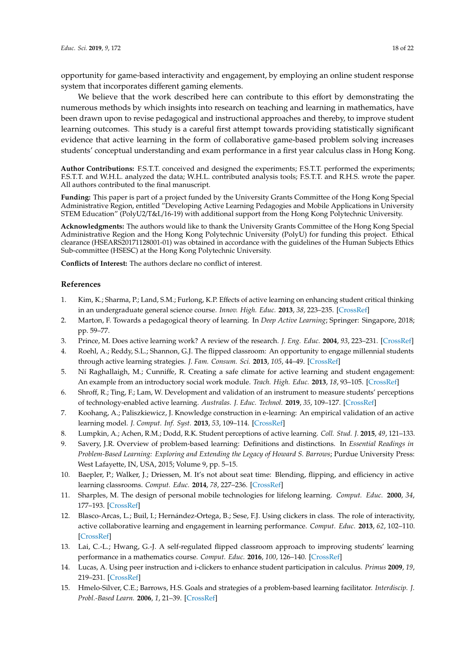opportunity for game-based interactivity and engagement, by employing an online student response system that incorporates different gaming elements.

We believe that the work described here can contribute to this effort by demonstrating the numerous methods by which insights into research on teaching and learning in mathematics, have been drawn upon to revise pedagogical and instructional approaches and thereby, to improve student learning outcomes. This study is a careful first attempt towards providing statistically significant evidence that active learning in the form of collaborative game-based problem solving increases students' conceptual understanding and exam performance in a first year calculus class in Hong Kong.

**Author Contributions:** F.S.T.T. conceived and designed the experiments; F.S.T.T. performed the experiments; F.S.T.T. and W.H.L. analyzed the data; W.H.L. contributed analysis tools; F.S.T.T. and R.H.S. wrote the paper. All authors contributed to the final manuscript.

**Funding:** This paper is part of a project funded by the University Grants Committee of the Hong Kong Special Administrative Region, entitled "Developing Active Learning Pedagogies and Mobile Applications in University STEM Education" (PolyU2/T&L/16-19) with additional support from the Hong Kong Polytechnic University.

**Acknowledgments:** The authors would like to thank the University Grants Committee of the Hong Kong Special Administrative Region and the Hong Kong Polytechnic University (PolyU) for funding this project. Ethical clearance (HSEARS20171128001-01) was obtained in accordance with the guidelines of the Human Subjects Ethics Sub-committee (HSESC) at the Hong Kong Polytechnic University.

**Conflicts of Interest:** The authors declare no conflict of interest.

#### **References**

- <span id="page-17-0"></span>1. Kim, K.; Sharma, P.; Land, S.M.; Furlong, K.P. Effects of active learning on enhancing student critical thinking in an undergraduate general science course. *Innov. High. Educ.* **2013**, *38*, 223–235. [\[CrossRef\]](http://dx.doi.org/10.1007/s10755-012-9236-x)
- <span id="page-17-1"></span>2. Marton, F. Towards a pedagogical theory of learning. In *Deep Active Learning*; Springer: Singapore, 2018; pp. 59–77.
- <span id="page-17-2"></span>3. Prince, M. Does active learning work? A review of the research. *J. Eng. Educ.* **2004**, *93*, 223–231. [\[CrossRef\]](http://dx.doi.org/10.1002/j.2168-9830.2004.tb00809.x)
- <span id="page-17-3"></span>4. Roehl, A.; Reddy, S.L.; Shannon, G.J. The flipped classroom: An opportunity to engage millennial students through active learning strategies. *J. Fam. Consum. Sci.* **2013**, *105*, 44–49. [\[CrossRef\]](http://dx.doi.org/10.14307/JFCS105.2.12)
- <span id="page-17-4"></span>5. Ní Raghallaigh, M.; Cunniffe, R. Creating a safe climate for active learning and student engagement: An example from an introductory social work module. *Teach. High. Educ.* **2013**, *18*, 93–105. [\[CrossRef\]](http://dx.doi.org/10.1080/13562517.2012.694103)
- <span id="page-17-5"></span>6. Shroff, R.; Ting, F.; Lam, W. Development and validation of an instrument to measure students' perceptions of technology-enabled active learning. *Australas. J. Educ. Technol.* **2019**, *35*, 109–127. [\[CrossRef\]](http://dx.doi.org/10.14742/ajet.4472)
- <span id="page-17-6"></span>7. Koohang, A.; Paliszkiewicz, J. Knowledge construction in e-learning: An empirical validation of an active learning model. *J. Comput. Inf. Syst.* **2013**, *53*, 109–114. [\[CrossRef\]](http://dx.doi.org/10.1080/08874417.2013.11645637)
- <span id="page-17-7"></span>8. Lumpkin, A.; Achen, R.M.; Dodd, R.K. Student perceptions of active learning. *Coll. Stud. J.* **2015**, *49*, 121–133.
- <span id="page-17-8"></span>9. Savery, J.R. Overview of problem-based learning: Definitions and distinctions. In *Essential Readings in Problem-Based Learning: Exploring and Extending the Legacy of Howard S. Barrows*; Purdue University Press: West Lafayette, IN, USA, 2015; Volume 9, pp. 5–15.
- <span id="page-17-9"></span>10. Baepler, P.; Walker, J.; Driessen, M. It's not about seat time: Blending, flipping, and efficiency in active learning classrooms. *Comput. Educ.* **2014**, *78*, 227–236. [\[CrossRef\]](http://dx.doi.org/10.1016/j.compedu.2014.06.006)
- <span id="page-17-10"></span>11. Sharples, M. The design of personal mobile technologies for lifelong learning. *Comput. Educ.* **2000**, *34*, 177–193. [\[CrossRef\]](http://dx.doi.org/10.1016/S0360-1315(99)00044-5)
- <span id="page-17-11"></span>12. Blasco-Arcas, L.; Buil, I.; Hernández-Ortega, B.; Sese, F.J. Using clickers in class. The role of interactivity, active collaborative learning and engagement in learning performance. *Comput. Educ.* **2013**, *62*, 102–110. [\[CrossRef\]](http://dx.doi.org/10.1016/j.compedu.2012.10.019)
- 13. Lai, C.-L.; Hwang, G.-J. A self-regulated flipped classroom approach to improving students' learning performance in a mathematics course. *Comput. Educ.* **2016**, *100*, 126–140. [\[CrossRef\]](http://dx.doi.org/10.1016/j.compedu.2016.05.006)
- <span id="page-17-12"></span>14. Lucas, A. Using peer instruction and i-clickers to enhance student participation in calculus. *Primus* **2009**, *19*, 219–231. [\[CrossRef\]](http://dx.doi.org/10.1080/10511970701643970)
- <span id="page-17-13"></span>15. Hmelo-Silver, C.E.; Barrows, H.S. Goals and strategies of a problem-based learning facilitator. *Interdiscip. J. Probl.-Based Learn.* **2006**, *1*, 21–39. [\[CrossRef\]](http://dx.doi.org/10.7771/1541-5015.1004)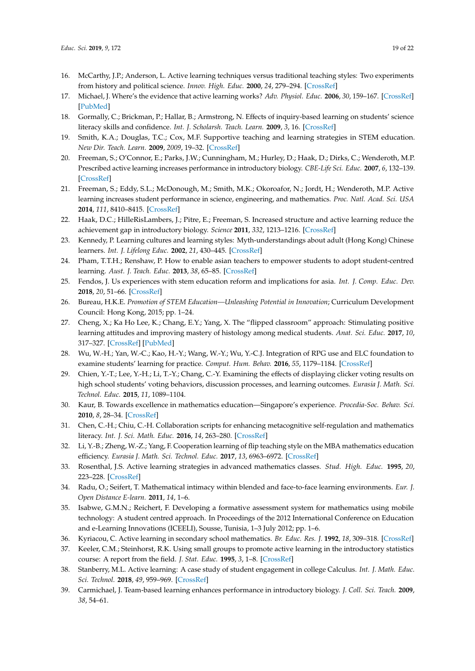- 16. McCarthy, J.P.; Anderson, L. Active learning techniques versus traditional teaching styles: Two experiments from history and political science. *Innov. High. Educ.* **2000**, *24*, 279–294. [\[CrossRef\]](http://dx.doi.org/10.1023/B:IHIE.0000047415.48495.05)
- 17. Michael, J. Where's the evidence that active learning works? *Adv. Physiol. Educ.* **2006**, *30*, 159–167. [\[CrossRef\]](http://dx.doi.org/10.1152/advan.00053.2006) [\[PubMed\]](http://www.ncbi.nlm.nih.gov/pubmed/17108243)
- <span id="page-18-0"></span>18. Gormally, C.; Brickman, P.; Hallar, B.; Armstrong, N. Effects of inquiry-based learning on students' science literacy skills and confidence. *Int. J. Scholarsh. Teach. Learn.* **2009**, *3*, 16. [\[CrossRef\]](http://dx.doi.org/10.20429/ijsotl.2009.030216)
- <span id="page-18-1"></span>19. Smith, K.A.; Douglas, T.C.; Cox, M.F. Supportive teaching and learning strategies in STEM education. *New Dir. Teach. Learn.* **2009**, *2009*, 19–32. [\[CrossRef\]](http://dx.doi.org/10.1002/tl.341)
- <span id="page-18-2"></span>20. Freeman, S.; O'Connor, E.; Parks, J.W.; Cunningham, M.; Hurley, D.; Haak, D.; Dirks, C.; Wenderoth, M.P. Prescribed active learning increases performance in introductory biology. *CBE-Life Sci. Educ.* **2007**, *6*, 132–139. [\[CrossRef\]](http://dx.doi.org/10.1187/cbe.06-09-0194)
- <span id="page-18-3"></span>21. Freeman, S.; Eddy, S.L.; McDonough, M.; Smith, M.K.; Okoroafor, N.; Jordt, H.; Wenderoth, M.P. Active learning increases student performance in science, engineering, and mathematics. *Proc. Natl. Acad. Sci. USA* **2014**, *111*, 8410–8415. [\[CrossRef\]](http://dx.doi.org/10.1073/pnas.1319030111)
- <span id="page-18-4"></span>22. Haak, D.C.; HilleRisLambers, J.; Pitre, E.; Freeman, S. Increased structure and active learning reduce the achievement gap in introductory biology. *Science* **2011**, *332*, 1213–1216. [\[CrossRef\]](http://dx.doi.org/10.1126/science.1204820)
- <span id="page-18-5"></span>23. Kennedy, P. Learning cultures and learning styles: Myth-understandings about adult (Hong Kong) Chinese learners. *Int. J. Lifelong Educ.* **2002**, *21*, 430–445. [\[CrossRef\]](http://dx.doi.org/10.1080/02601370210156745)
- <span id="page-18-6"></span>24. Pham, T.T.H.; Renshaw, P. How to enable asian teachers to empower students to adopt student-centred learning. *Aust. J. Teach. Educ.* **2013**, *38*, 65–85. [\[CrossRef\]](http://dx.doi.org/10.14221/ajte.2013v38n11.4)
- <span id="page-18-7"></span>25. Fendos, J. Us experiences with stem education reform and implications for asia. *Int. J. Comp. Educ. Dev.* **2018**, *20*, 51–66. [\[CrossRef\]](http://dx.doi.org/10.1108/IJCED-10-2017-0026)
- <span id="page-18-8"></span>26. Bureau, H.K.E. *Promotion of STEM Education—Unleashing Potential in Innovation*; Curriculum Development Council: Hong Kong, 2015; pp. 1–24.
- <span id="page-18-9"></span>27. Cheng, X.; Ka Ho Lee, K.; Chang, E.Y.; Yang, X. The "flipped classroom" approach: Stimulating positive learning attitudes and improving mastery of histology among medical students. *Anat. Sci. Educ.* **2017**, *10*, 317–327. [\[CrossRef\]](http://dx.doi.org/10.1002/ase.1664) [\[PubMed\]](http://www.ncbi.nlm.nih.gov/pubmed/28199052)
- <span id="page-18-10"></span>28. Wu, W.-H.; Yan, W.-C.; Kao, H.-Y.; Wang, W.-Y.; Wu, Y.-C.J. Integration of RPG use and ELC foundation to examine students' learning for practice. *Comput. Hum. Behav.* **2016**, *55*, 1179–1184. [\[CrossRef\]](http://dx.doi.org/10.1016/j.chb.2014.10.023)
- <span id="page-18-11"></span>29. Chien, Y.-T.; Lee, Y.-H.; Li, T.-Y.; Chang, C.-Y. Examining the effects of displaying clicker voting results on high school students' voting behaviors, discussion processes, and learning outcomes. *Eurasia J. Math. Sci. Technol. Educ.* **2015**, *11*, 1089–1104.
- <span id="page-18-12"></span>30. Kaur, B. Towards excellence in mathematics education—Singapore's experience. *Procedia-Soc. Behav. Sci.* **2010**, *8*, 28–34. [\[CrossRef\]](http://dx.doi.org/10.1016/j.sbspro.2010.12.004)
- <span id="page-18-13"></span>31. Chen, C.-H.; Chiu, C.-H. Collaboration scripts for enhancing metacognitive self-regulation and mathematics literacy. *Int. J. Sci. Math. Educ.* **2016**, *14*, 263–280. [\[CrossRef\]](http://dx.doi.org/10.1007/s10763-015-9681-y)
- <span id="page-18-14"></span>32. Li, Y.-B.; Zheng, W.-Z.; Yang, F. Cooperation learning of flip teaching style on the MBA mathematics education efficiency. *Eurasia J. Math. Sci. Technol. Educ.* **2017**, *13*, 6963–6972. [\[CrossRef\]](http://dx.doi.org/10.12973/ejmste/76878)
- <span id="page-18-15"></span>33. Rosenthal, J.S. Active learning strategies in advanced mathematics classes. *Stud. High. Educ.* **1995**, *20*, 223–228. [\[CrossRef\]](http://dx.doi.org/10.1080/03075079512331381723)
- <span id="page-18-16"></span>34. Radu, O.; Seifert, T. Mathematical intimacy within blended and face-to-face learning environments. *Eur. J. Open Distance E-learn.* **2011**, *14*, 1–6.
- 35. Isabwe, G.M.N.; Reichert, F. Developing a formative assessment system for mathematics using mobile technology: A student centred approach. In Proceedings of the 2012 International Conference on Education and e-Learning Innovations (ICEELI), Sousse, Tunisia, 1–3 July 2012; pp. 1–6.
- 36. Kyriacou, C. Active learning in secondary school mathematics. *Br. Educ. Res. J.* **1992**, *18*, 309–318. [\[CrossRef\]](http://dx.doi.org/10.1080/0141192920180308)
- <span id="page-18-17"></span>37. Keeler, C.M.; Steinhorst, R.K. Using small groups to promote active learning in the introductory statistics course: A report from the field. *J. Stat. Educ.* **1995**, *3*, 1–8. [\[CrossRef\]](http://dx.doi.org/10.1080/10691898.1995.11910485)
- <span id="page-18-18"></span>38. Stanberry, M.L. Active learning: A case study of student engagement in college Calculus. *Int. J. Math. Educ. Sci. Technol.* **2018**, *49*, 959–969. [\[CrossRef\]](http://dx.doi.org/10.1080/0020739X.2018.1440328)
- <span id="page-18-19"></span>39. Carmichael, J. Team-based learning enhances performance in introductory biology. *J. Coll. Sci. Teach.* **2009**, *38*, 54–61.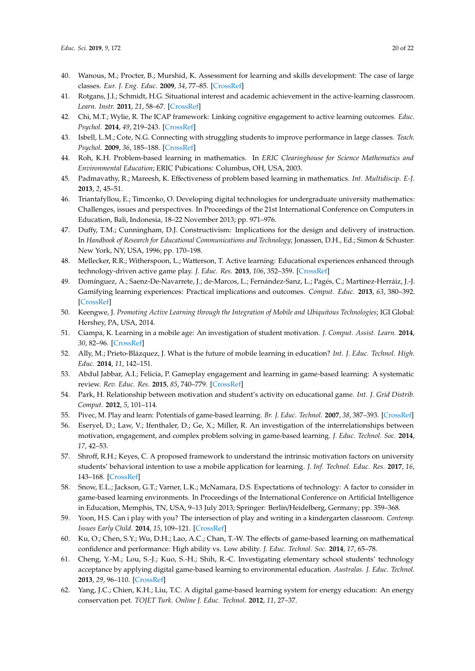- <span id="page-19-0"></span>40. Wanous, M.; Procter, B.; Murshid, K. Assessment for learning and skills development: The case of large classes. *Eur. J. Eng. Educ.* **2009**, *34*, 77–85. [\[CrossRef\]](http://dx.doi.org/10.1080/03043790902721462)
- <span id="page-19-1"></span>41. Rotgans, J.I.; Schmidt, H.G. Situational interest and academic achievement in the active-learning classroom. *Learn. Instr.* **2011**, *21*, 58–67. [\[CrossRef\]](http://dx.doi.org/10.1016/j.learninstruc.2009.11.001)
- <span id="page-19-2"></span>42. Chi, M.T.; Wylie, R. The ICAP framework: Linking cognitive engagement to active learning outcomes. *Educ. Psychol.* **2014**, *49*, 219–243. [\[CrossRef\]](http://dx.doi.org/10.1080/00461520.2014.965823)
- <span id="page-19-3"></span>43. Isbell, L.M.; Cote, N.G. Connecting with struggling students to improve performance in large classes. *Teach. Psychol.* **2009**, *36*, 185–188. [\[CrossRef\]](http://dx.doi.org/10.1080/00986280902959960)
- <span id="page-19-4"></span>44. Roh, K.H. Problem-based learning in mathematics. In *ERIC Clearinghouse for Science Mathematics and Environmental Education*; ERIC Pubications: Columbus, OH, USA, 2003.
- <span id="page-19-5"></span>45. Padmavathy, R.; Mareesh, K. Effectiveness of problem based learning in mathematics. *Int. Multidiscip. E-J.* **2013**, *2*, 45–51.
- <span id="page-19-6"></span>46. Triantafyllou, E.; Timcenko, O. Developing digital technologies for undergraduate university mathematics: Challenges, issues and perspectives. In Proceedings of the 21st International Conference on Computers in Education, Bali, Indonesia, 18–22 November 2013; pp. 971–976.
- <span id="page-19-7"></span>47. Duffy, T.M.; Cunningham, D.J. Constructivism: Implications for the design and delivery of instruction. In *Handbook of Research for Educational Communications and Technology*; Jonassen, D.H., Ed.; Simon & Schuster: New York, NY, USA, 1996; pp. 170–198.
- <span id="page-19-8"></span>48. Mellecker, R.R.; Witherspoon, L.; Watterson, T. Active learning: Educational experiences enhanced through technology-driven active game play. *J. Educ. Res.* **2013**, *106*, 352–359. [\[CrossRef\]](http://dx.doi.org/10.1080/00220671.2012.736429)
- <span id="page-19-9"></span>49. Domínguez, A.; Saenz-De-Navarrete, J.; de-Marcos, L.; Fernández-Sanz, L.; Pagés, C.; Martínez-Herráiz, J.-J. Gamifying learning experiences: Practical implications and outcomes. *Comput. Educ.* **2013**, *63*, 380–392. [\[CrossRef\]](http://dx.doi.org/10.1016/j.compedu.2012.12.020)
- <span id="page-19-10"></span>50. Keengwe, J. *Promoting Active Learning through the Integration of Mobile and Ubiquitous Technologies*; IGI Global: Hershey, PA, USA, 2014.
- 51. Ciampa, K. Learning in a mobile age: An investigation of student motivation. *J. Comput. Assist. Learn.* **2014**, *30*, 82–96. [\[CrossRef\]](http://dx.doi.org/10.1111/jcal.12036)
- <span id="page-19-11"></span>52. Ally, M.; Prieto-Blázquez, J. What is the future of mobile learning in education? *Int. J. Educ. Technol. High. Educ.* **2014**, *11*, 142–151.
- <span id="page-19-12"></span>53. Abdul Jabbar, A.I.; Felicia, P. Gameplay engagement and learning in game-based learning: A systematic review. *Rev. Educ. Res.* **2015**, *85*, 740–779. [\[CrossRef\]](http://dx.doi.org/10.3102/0034654315577210)
- <span id="page-19-13"></span>54. Park, H. Relationship between motivation and student's activity on educational game. *Int. J. Grid Distrib. Comput.* **2012**, *5*, 101–114.
- <span id="page-19-14"></span>55. Pivec, M. Play and learn: Potentials of game-based learning. *Br. J. Educ. Technol.* **2007**, *38*, 387–393. [\[CrossRef\]](http://dx.doi.org/10.1111/j.1467-8535.2007.00722.x)
- <span id="page-19-15"></span>56. Eseryel, D.; Law, V.; Ifenthaler, D.; Ge, X.; Miller, R. An investigation of the interrelationships between motivation, engagement, and complex problem solving in game-based learning. *J. Educ. Technol. Soc.* **2014**, *17*, 42–53.
- <span id="page-19-16"></span>57. Shroff, R.H.; Keyes, C. A proposed framework to understand the intrinsic motivation factors on university students' behavioral intention to use a mobile application for learning. *J. Inf. Technol. Educ. Res.* **2017**, *16*, 143–168. [\[CrossRef\]](http://dx.doi.org/10.28945/3694)
- <span id="page-19-17"></span>58. Snow, E.L.; Jackson, G.T.; Varner, L.K.; McNamara, D.S. Expectations of technology: A factor to consider in game-based learning environments. In Proceedings of the International Conference on Artificial Intelligence in Education, Memphis, TN, USA, 9–13 July 2013; Springer: Berlin/Heidelberg, Germany; pp. 359–368.
- <span id="page-19-18"></span>59. Yoon, H.S. Can i play with you? The intersection of play and writing in a kindergarten classroom. *Contemp. Issues Early Child.* **2014**, *15*, 109–121. [\[CrossRef\]](http://dx.doi.org/10.2304/ciec.2014.15.2.109)
- <span id="page-19-19"></span>60. Ku, O.; Chen, S.Y.; Wu, D.H.; Lao, A.C.; Chan, T.-W. The effects of game-based learning on mathematical confidence and performance: High ability vs. Low ability. *J. Educ. Technol. Soc.* **2014**, *17*, 65–78.
- <span id="page-19-20"></span>61. Cheng, Y.-M.; Lou, S.-J.; Kuo, S.-H.; Shih, R.-C. Investigating elementary school students' technology acceptance by applying digital game-based learning to environmental education. *Australas. J. Educ. Technol.* **2013**, *29*, 96–110. [\[CrossRef\]](http://dx.doi.org/10.14742/ajet.65)
- <span id="page-19-21"></span>62. Yang, J.C.; Chien, K.H.; Liu, T.C. A digital game-based learning system for energy education: An energy conservation pet. *TOJET Turk. Online J. Educ. Technol.* **2012**, *11*, 27–37.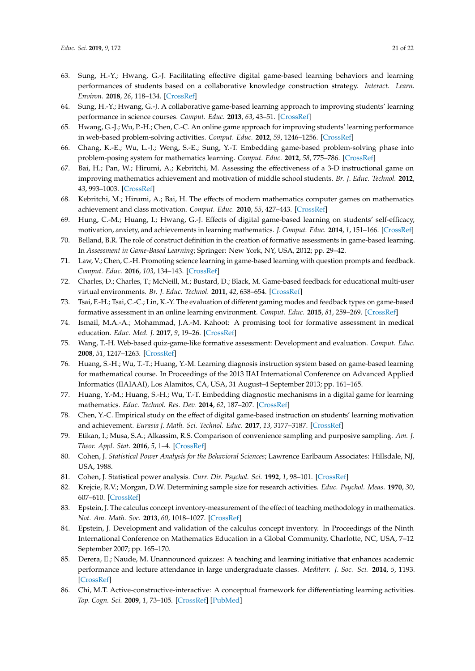- <span id="page-20-0"></span>63. Sung, H.-Y.; Hwang, G.-J. Facilitating effective digital game-based learning behaviors and learning performances of students based on a collaborative knowledge construction strategy. *Interact. Learn. Environ.* **2018**, *26*, 118–134. [\[CrossRef\]](http://dx.doi.org/10.1080/10494820.2017.1283334)
- 64. Sung, H.-Y.; Hwang, G.-J. A collaborative game-based learning approach to improving students' learning performance in science courses. *Comput. Educ.* **2013**, *63*, 43–51. [\[CrossRef\]](http://dx.doi.org/10.1016/j.compedu.2012.11.019)
- <span id="page-20-1"></span>65. Hwang, G.-J.; Wu, P.-H.; Chen, C.-C. An online game approach for improving students' learning performance in web-based problem-solving activities. *Comput. Educ.* **2012**, *59*, 1246–1256. [\[CrossRef\]](http://dx.doi.org/10.1016/j.compedu.2012.05.009)
- <span id="page-20-2"></span>66. Chang, K.-E.; Wu, L.-J.; Weng, S.-E.; Sung, Y.-T. Embedding game-based problem-solving phase into problem-posing system for mathematics learning. *Comput. Educ.* **2012**, *58*, 775–786. [\[CrossRef\]](http://dx.doi.org/10.1016/j.compedu.2011.10.002)
- <span id="page-20-3"></span>67. Bai, H.; Pan, W.; Hirumi, A.; Kebritchi, M. Assessing the effectiveness of a 3-D instructional game on improving mathematics achievement and motivation of middle school students. *Br. J. Educ. Technol.* **2012**, *43*, 993–1003. [\[CrossRef\]](http://dx.doi.org/10.1111/j.1467-8535.2011.01269.x)
- <span id="page-20-4"></span>68. Kebritchi, M.; Hirumi, A.; Bai, H. The effects of modern mathematics computer games on mathematics achievement and class motivation. *Comput. Educ.* **2010**, *55*, 427–443. [\[CrossRef\]](http://dx.doi.org/10.1016/j.compedu.2010.02.007)
- <span id="page-20-5"></span>69. Hung, C.-M.; Huang, I.; Hwang, G.-J. Effects of digital game-based learning on students' self-efficacy, motivation, anxiety, and achievements in learning mathematics. *J. Comput. Educ.* **2014**, *1*, 151–166. [\[CrossRef\]](http://dx.doi.org/10.1007/s40692-014-0008-8)
- <span id="page-20-6"></span>70. Belland, B.R. The role of construct definition in the creation of formative assessments in game-based learning. In *Assessment in Game-Based Learning*; Springer: New York, NY, USA, 2012; pp. 29–42.
- <span id="page-20-7"></span>71. Law, V.; Chen, C.-H. Promoting science learning in game-based learning with question prompts and feedback. *Comput. Educ.* **2016**, *103*, 134–143. [\[CrossRef\]](http://dx.doi.org/10.1016/j.compedu.2016.10.005)
- <span id="page-20-8"></span>72. Charles, D.; Charles, T.; McNeill, M.; Bustard, D.; Black, M. Game-based feedback for educational multi-user virtual environments. *Br. J. Educ. Technol.* **2011**, *42*, 638–654. [\[CrossRef\]](http://dx.doi.org/10.1111/j.1467-8535.2010.01068.x)
- <span id="page-20-9"></span>73. Tsai, F.-H.; Tsai, C.-C.; Lin, K.-Y. The evaluation of different gaming modes and feedback types on game-based formative assessment in an online learning environment. *Comput. Educ.* **2015**, *81*, 259–269. [\[CrossRef\]](http://dx.doi.org/10.1016/j.compedu.2014.10.013)
- <span id="page-20-10"></span>74. Ismail, M.A.-A.; Mohammad, J.A.-M. Kahoot: A promising tool for formative assessment in medical education. *Educ. Med. J.* **2017**, *9*, 19–26. [\[CrossRef\]](http://dx.doi.org/10.21315/eimj2017.9.2.2)
- <span id="page-20-11"></span>75. Wang, T.-H. Web-based quiz-game-like formative assessment: Development and evaluation. *Comput. Educ.* **2008**, *51*, 1247–1263. [\[CrossRef\]](http://dx.doi.org/10.1016/j.compedu.2007.11.011)
- <span id="page-20-12"></span>76. Huang, S.-H.; Wu, T.-T.; Huang, Y.-M. Learning diagnosis instruction system based on game-based learning for mathematical course. In Proceedings of the 2013 IIAI International Conference on Advanced Applied Informatics (IIAIAAI), Los Alamitos, CA, USA, 31 August–4 September 2013; pp. 161–165.
- <span id="page-20-13"></span>77. Huang, Y.-M.; Huang, S.-H.; Wu, T.-T. Embedding diagnostic mechanisms in a digital game for learning mathematics. *Educ. Technol. Res. Dev.* **2014**, *62*, 187–207. [\[CrossRef\]](http://dx.doi.org/10.1007/s11423-013-9315-4)
- <span id="page-20-14"></span>78. Chen, Y.-C. Empirical study on the effect of digital game-based instruction on students' learning motivation and achievement. *Eurasia J. Math. Sci. Technol. Educ.* **2017**, *13*, 3177–3187. [\[CrossRef\]](http://dx.doi.org/10.12973/eurasia.2017.00711a)
- <span id="page-20-15"></span>79. Etikan, I.; Musa, S.A.; Alkassim, R.S. Comparison of convenience sampling and purposive sampling. *Am. J. Theor. Appl. Stat.* **2016**, *5*, 1–4. [\[CrossRef\]](http://dx.doi.org/10.11648/j.ajtas.20160501.11)
- <span id="page-20-16"></span>80. Cohen, J. *Statistical Power Analysis for the Behavioral Sciences*; Lawrence Earlbaum Associates: Hillsdale, NJ, USA, 1988.
- <span id="page-20-17"></span>81. Cohen, J. Statistical power analysis. *Curr. Dir. Psychol. Sci.* **1992**, *1*, 98–101. [\[CrossRef\]](http://dx.doi.org/10.1111/1467-8721.ep10768783)
- <span id="page-20-18"></span>82. Krejcie, R.V.; Morgan, D.W. Determining sample size for research activities. *Educ. Psychol. Meas.* **1970**, *30*, 607–610. [\[CrossRef\]](http://dx.doi.org/10.1177/001316447003000308)
- <span id="page-20-19"></span>83. Epstein, J. The calculus concept inventory-measurement of the effect of teaching methodology in mathematics. *Not. Am. Math. Soc.* **2013**, *60*, 1018–1027. [\[CrossRef\]](http://dx.doi.org/10.1090/noti1033)
- <span id="page-20-20"></span>84. Epstein, J. Development and validation of the calculus concept inventory. In Proceedings of the Ninth International Conference on Mathematics Education in a Global Community, Charlotte, NC, USA, 7–12 September 2007; pp. 165–170.
- <span id="page-20-21"></span>85. Derera, E.; Naude, M. Unannounced quizzes: A teaching and learning initiative that enhances academic performance and lecture attendance in large undergraduate classes. *Mediterr. J. Soc. Sci.* **2014**, *5*, 1193. [\[CrossRef\]](http://dx.doi.org/10.5901/mjss.2014.v5n20p1193)
- <span id="page-20-22"></span>86. Chi, M.T. Active-constructive-interactive: A conceptual framework for differentiating learning activities. *Top. Cogn. Sci.* **2009**, *1*, 73–105. [\[CrossRef\]](http://dx.doi.org/10.1111/j.1756-8765.2008.01005.x) [\[PubMed\]](http://www.ncbi.nlm.nih.gov/pubmed/25164801)